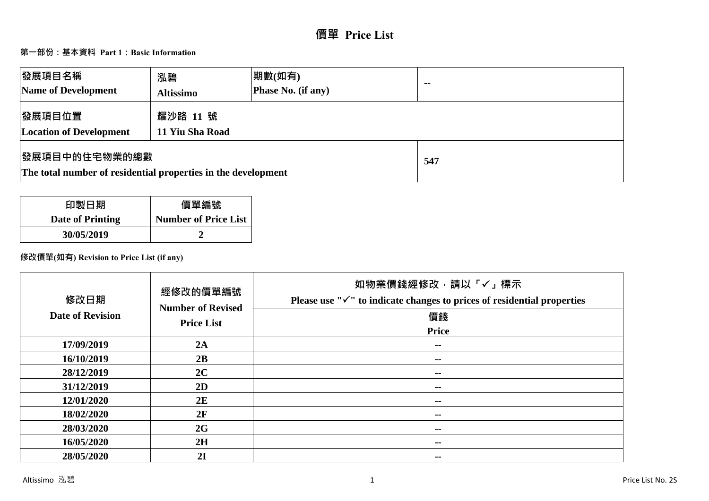# **價單 Price List**

# **第一部份:基本資料 Part 1:Basic Information**

| 發展項目名稱<br>Name of Development                                                  | 泓碧<br><b>Altissimo</b>      | 期數(如有)<br>Phase No. (if any) | $\blacksquare$ |
|--------------------------------------------------------------------------------|-----------------------------|------------------------------|----------------|
| 發展項目位置<br><b>Location of Development</b>                                       | 耀沙路 11 號<br>11 Yiu Sha Road |                              |                |
| 發展項目中的住宅物業的總數<br>The total number of residential properties in the development |                             | 547                          |                |

| 印製日期             | 價單編號                        |
|------------------|-----------------------------|
| Date of Printing | <b>Number of Price List</b> |
| 30/05/2019       |                             |

# **修改價單(如有) Revision to Price List (if any)**

| 修改日期<br><b>Date of Revision</b> | 經修改的價單編號<br><b>Number of Revised</b><br><b>Price List</b> | 如物業價錢經修改,請以「✓」標示<br>Please use " $\checkmark$ " to indicate changes to prices of residential properties<br>價錢<br><b>Price</b> |
|---------------------------------|-----------------------------------------------------------|-------------------------------------------------------------------------------------------------------------------------------|
| 17/09/2019                      | 2A                                                        | $\sim$                                                                                                                        |
| 16/10/2019                      | 2B                                                        | $\sim$ $-$                                                                                                                    |
| 28/12/2019                      | 2C                                                        | $\sim$                                                                                                                        |
| 31/12/2019                      | 2D                                                        | $\sim$ $-$                                                                                                                    |
| 12/01/2020                      | 2E                                                        | --                                                                                                                            |
| 18/02/2020                      | 2F                                                        | $\sim$ $-$                                                                                                                    |
| 28/03/2020                      | 2G                                                        | $\sim$ $-$                                                                                                                    |
| 16/05/2020                      | 2H                                                        | $\sim$ $-$                                                                                                                    |
| 28/05/2020                      | 2I                                                        | --                                                                                                                            |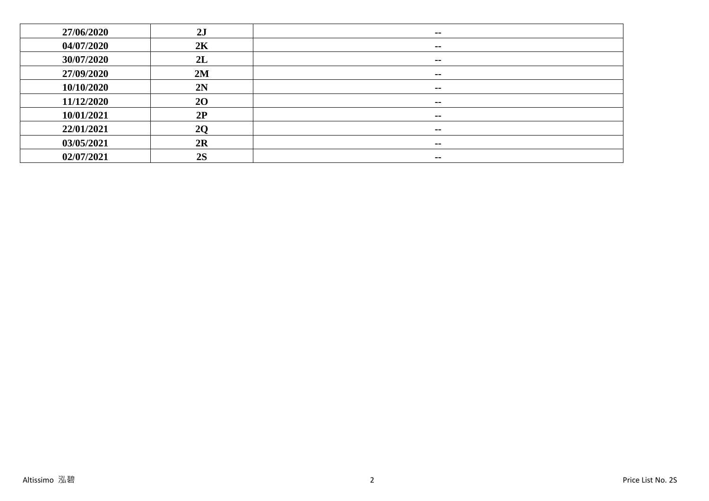| 27/06/2020 | 2J        | $\sim$                   |
|------------|-----------|--------------------------|
| 04/07/2020 | 2K        | $\sim$                   |
| 30/07/2020 | 2L        | $\sim$                   |
| 27/09/2020 | 2M        | $\sim$ $\sim$            |
| 10/10/2020 | 2N        | $\sim$                   |
| 11/12/2020 | <b>20</b> | $\sim$                   |
| 10/01/2021 | 2P        | $\sim$ $-$               |
| 22/01/2021 | <b>20</b> | $\sim$ $\sim$            |
| 03/05/2021 | 2R        | $\sim$                   |
| 02/07/2021 | 2S        | $\overline{\phantom{a}}$ |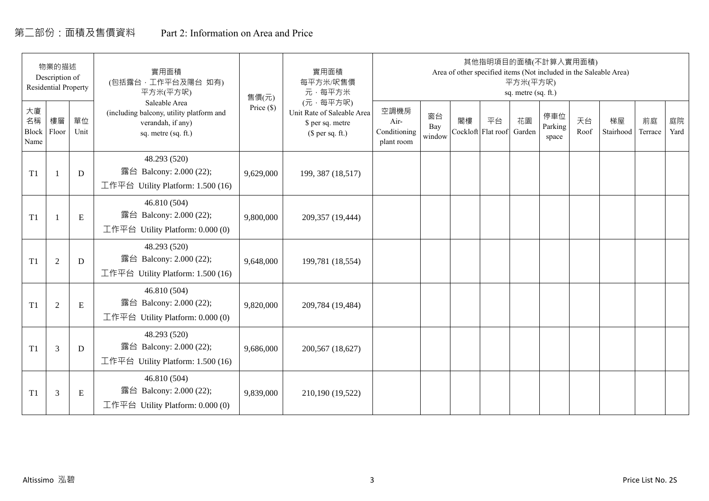# 第二部份:面積及售價資料 Part 2: Information on Area and Price

|                           | 物業的描述<br>Description of<br><b>Residential Property</b> |            | 實用面積<br>(包括露台,工作平台及陽台 如有)<br>平方米(平方呎)                                                                 | 售價(元)      | 實用面積<br>每平方米/呎售價<br>元·每平方米                                                     |                                            |                     |    | 其他指明項目的面積(不計算入實用面積)      | 平方米(平方呎)<br>sq. metre (sq. ft.) |                         |            | Area of other specified items (Not included in the Saleable Area) |               |            |
|---------------------------|--------------------------------------------------------|------------|-------------------------------------------------------------------------------------------------------|------------|--------------------------------------------------------------------------------|--------------------------------------------|---------------------|----|--------------------------|---------------------------------|-------------------------|------------|-------------------------------------------------------------------|---------------|------------|
| 大廈<br>名稱<br>Block<br>Name | 樓層<br>Floor                                            | 單位<br>Unit | Saleable Area<br>(including balcony, utility platform and<br>verandah, if any)<br>sq. metre (sq. ft.) | Price (\$) | (元·每平方呎)<br>Unit Rate of Saleable Area<br>\$ per sq. metre<br>$$$ per sq. ft.) | 空調機房<br>Air-<br>Conditioning<br>plant room | 窗台<br>Bay<br>window | 閣樓 | 平台<br>Cockloft Flat roof | 花園<br>Garden                    | 停車位<br>Parking<br>space | 天台<br>Roof | 梯屋<br>Stairhood                                                   | 前庭<br>Terrace | 庭院<br>Yard |
| T1                        |                                                        | D          | 48.293 (520)<br>露台 Balcony: 2.000 (22);<br>工作平台 Utility Platform: 1.500 (16)                          | 9,629,000  | 199, 387 (18,517)                                                              |                                            |                     |    |                          |                                 |                         |            |                                                                   |               |            |
| T1                        |                                                        | ${\bf E}$  | 46.810 (504)<br>露台 Balcony: 2.000 (22);<br>工作平台 Utility Platform: $0.000(0)$                          | 9,800,000  | 209,357 (19,444)                                                               |                                            |                     |    |                          |                                 |                         |            |                                                                   |               |            |
| T1                        | $\overline{2}$                                         | D          | 48.293 (520)<br>露台 Balcony: 2.000 (22);<br>工作平台 Utility Platform: 1.500 (16)                          | 9,648,000  | 199,781 (18,554)                                                               |                                            |                     |    |                          |                                 |                         |            |                                                                   |               |            |
| T1                        | 2                                                      | ${\bf E}$  | 46.810 (504)<br>露台 Balcony: 2.000 (22);<br>工作平台 Utility Platform: 0.000 (0)                           | 9,820,000  | 209,784 (19,484)                                                               |                                            |                     |    |                          |                                 |                         |            |                                                                   |               |            |
| T1                        | 3                                                      | D          | 48.293 (520)<br>露台 Balcony: 2.000 (22);<br>工作平台 Utility Platform: $1.500(16)$                         | 9,686,000  | 200,567 (18,627)                                                               |                                            |                     |    |                          |                                 |                         |            |                                                                   |               |            |
| T1                        | 3                                                      | Ε          | 46.810 (504)<br>露台 Balcony: 2.000 (22);<br>工作平台 Utility Platform: $0.000(0)$                          | 9,839,000  | 210,190 (19,522)                                                               |                                            |                     |    |                          |                                 |                         |            |                                                                   |               |            |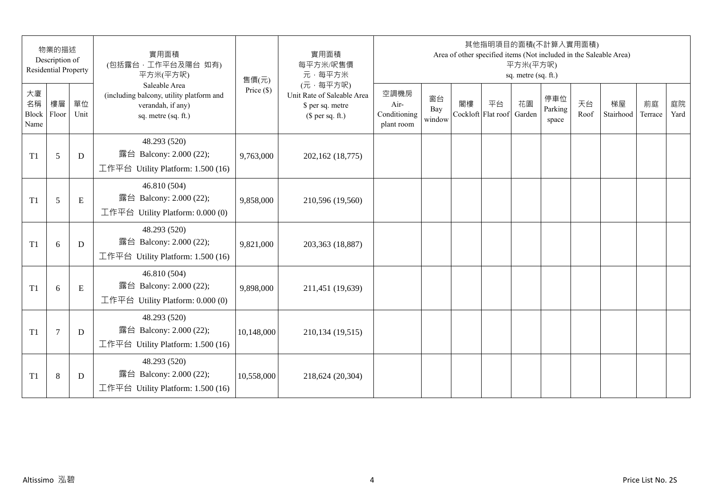|                                 | 物業的描述<br>Description of<br><b>Residential Property</b> |            | 實用面積<br>(包括露台,工作平台及陽台 如有)<br>平方米(平方呎)                                                                 | 售價(元)        | 實用面積<br>每平方米/呎售價<br>元·每平方米                                                     |                                            |                     |                          | 其他指明項目的面積(不計算入實用面積)<br>Area of other specified items (Not included in the Saleable Area) | 平方米(平方呎)<br>sq. metre (sq. ft.) |                         |            |                 |               |            |
|---------------------------------|--------------------------------------------------------|------------|-------------------------------------------------------------------------------------------------------|--------------|--------------------------------------------------------------------------------|--------------------------------------------|---------------------|--------------------------|------------------------------------------------------------------------------------------|---------------------------------|-------------------------|------------|-----------------|---------------|------------|
| 大廈<br>名稱<br>Block Floor<br>Name | 樓層                                                     | 單位<br>Unit | Saleable Area<br>(including balcony, utility platform and<br>verandah, if any)<br>sq. metre (sq. ft.) | Price $(\$)$ | (元·每平方呎)<br>Unit Rate of Saleable Area<br>\$ per sq. metre<br>$$$ per sq. ft.) | 空調機房<br>Air-<br>Conditioning<br>plant room | 窗台<br>Bay<br>window | 閣樓<br>Cockloft Flat roof | 平台                                                                                       | 花園<br>Garden                    | 停車位<br>Parking<br>space | 天台<br>Roof | 梯屋<br>Stairhood | 前庭<br>Terrace | 庭院<br>Yard |
| T1                              | 5                                                      | D          | 48.293 (520)<br>露台 Balcony: 2.000 (22);<br>工作平台 Utility Platform: 1.500 (16)                          | 9,763,000    | 202,162 (18,775)                                                               |                                            |                     |                          |                                                                                          |                                 |                         |            |                 |               |            |
| T1                              | 5                                                      | E          | 46.810 (504)<br>露台 Balcony: 2.000 (22);<br>工作平台 Utility Platform: 0.000 (0)                           | 9,858,000    | 210,596 (19,560)                                                               |                                            |                     |                          |                                                                                          |                                 |                         |            |                 |               |            |
| T1                              | 6                                                      | D          | 48.293 (520)<br>露台 Balcony: 2.000 (22);<br>工作平台 Utility Platform: 1.500 (16)                          | 9,821,000    | 203,363 (18,887)                                                               |                                            |                     |                          |                                                                                          |                                 |                         |            |                 |               |            |
| T1                              | 6                                                      | E          | 46.810 (504)<br>露台 Balcony: 2.000 (22);<br>工作平台 Utility Platform: 0.000 (0)                           | 9,898,000    | 211,451 (19,639)                                                               |                                            |                     |                          |                                                                                          |                                 |                         |            |                 |               |            |
| T1                              | $\overline{7}$                                         | D          | 48.293 (520)<br>露台 Balcony: 2.000 (22);<br>工作平台 Utility Platform: 1.500 (16)                          | 10,148,000   | 210,134 (19,515)                                                               |                                            |                     |                          |                                                                                          |                                 |                         |            |                 |               |            |
| T1                              | $\,8\,$                                                | D          | 48.293 (520)<br>露台 Balcony: 2.000 (22);<br>工作平台 Utility Platform: $1.500(16)$                         | 10,558,000   | 218,624 (20,304)                                                               |                                            |                     |                          |                                                                                          |                                 |                         |            |                 |               |            |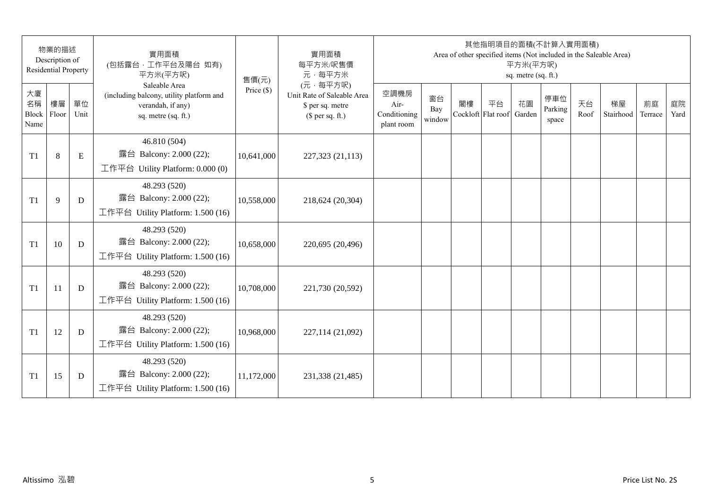|                           | 物業的描述<br>Description of<br><b>Residential Property</b> |             | 實用面積<br>(包括露台,工作平台及陽台 如有)<br>平方米(平方呎)                                                                 | 售價(元)        | 實用面積<br>每平方米/呎售價<br>元·每平方米                                                     |                                            |                     |    | 其他指明項目的面積(不計算入實用面積)      | 平方米(平方呎)<br>sq. metre (sq. ft.) |                         |            | Area of other specified items (Not included in the Saleable Area) |               |            |
|---------------------------|--------------------------------------------------------|-------------|-------------------------------------------------------------------------------------------------------|--------------|--------------------------------------------------------------------------------|--------------------------------------------|---------------------|----|--------------------------|---------------------------------|-------------------------|------------|-------------------------------------------------------------------|---------------|------------|
| 大廈<br>名稱<br>Block<br>Name | 樓層<br>Floor                                            | 單位<br>Unit  | Saleable Area<br>(including balcony, utility platform and<br>verandah, if any)<br>sq. metre (sq. ft.) | Price $(\$)$ | (元·每平方呎)<br>Unit Rate of Saleable Area<br>\$ per sq. metre<br>$$$ per sq. ft.) | 空調機房<br>Air-<br>Conditioning<br>plant room | 窗台<br>Bay<br>window | 閣樓 | 平台<br>Cockloft Flat roof | 花園<br>Garden                    | 停車位<br>Parking<br>space | 天台<br>Roof | 梯屋<br>Stairhood                                                   | 前庭<br>Terrace | 庭院<br>Yard |
| T <sub>1</sub>            | $8\,$                                                  | $\mathbf E$ | 46.810 (504)<br>露台 Balcony: 2.000 (22);<br>工作平台 Utility Platform: 0.000 (0)                           | 10,641,000   | 227,323 (21,113)                                                               |                                            |                     |    |                          |                                 |                         |            |                                                                   |               |            |
| T <sub>1</sub>            | 9                                                      | D           | 48.293 (520)<br>露台 Balcony: 2.000 (22);<br>工作平台 Utility Platform: 1.500 (16)                          | 10,558,000   | 218,624 (20,304)                                                               |                                            |                     |    |                          |                                 |                         |            |                                                                   |               |            |
| T <sub>1</sub>            | 10                                                     | D           | 48.293 (520)<br>露台 Balcony: 2.000 (22);<br>工作平台 Utility Platform: 1.500 (16)                          | 10,658,000   | 220,695 (20,496)                                                               |                                            |                     |    |                          |                                 |                         |            |                                                                   |               |            |
| T <sub>1</sub>            | 11                                                     | D           | 48.293 (520)<br>露台 Balcony: 2.000 (22);<br>工作平台 Utility Platform: 1.500 (16)                          | 10,708,000   | 221,730 (20,592)                                                               |                                            |                     |    |                          |                                 |                         |            |                                                                   |               |            |
| T <sub>1</sub>            | 12                                                     | D           | 48.293 (520)<br>露台 Balcony: 2.000 (22);<br>工作平台 Utility Platform: 1.500 (16)                          | 10,968,000   | 227,114 (21,092)                                                               |                                            |                     |    |                          |                                 |                         |            |                                                                   |               |            |
| T1                        | 15                                                     | D           | 48.293 (520)<br>露台 Balcony: 2.000 (22);<br>工作平台 Utility Platform: 1.500 (16)                          | 11,172,000   | 231,338 (21,485)                                                               |                                            |                     |    |                          |                                 |                         |            |                                                                   |               |            |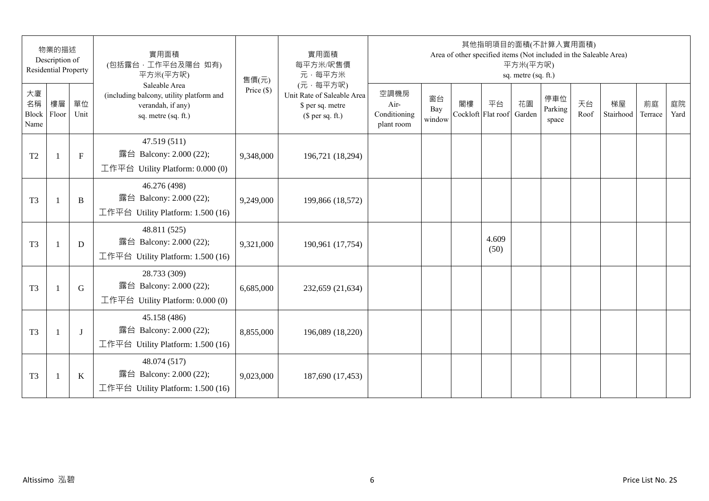|                           | 物業的描述<br>Description of<br><b>Residential Property</b> |            | 實用面積<br>(包括露台,工作平台及陽台 如有)<br>平方米(平方呎)                                                                 | 售價(元)        | 實用面積<br>每平方米/呎售價<br>元·每平方米                                                     |                                            |                     |    | 其他指明項目的面積(不計算入實用面積)<br>Area of other specified items (Not included in the Saleable Area) | 平方米(平方呎)<br>sq. metre (sq. ft.) |                         |            |                 |               |            |
|---------------------------|--------------------------------------------------------|------------|-------------------------------------------------------------------------------------------------------|--------------|--------------------------------------------------------------------------------|--------------------------------------------|---------------------|----|------------------------------------------------------------------------------------------|---------------------------------|-------------------------|------------|-----------------|---------------|------------|
| 大廈<br>名稱<br>Block<br>Name | 樓層<br>Floor                                            | 單位<br>Unit | Saleable Area<br>(including balcony, utility platform and<br>verandah, if any)<br>sq. metre (sq. ft.) | Price $(\$)$ | (元·每平方呎)<br>Unit Rate of Saleable Area<br>\$ per sq. metre<br>(\$ per sq. ft.) | 空調機房<br>Air-<br>Conditioning<br>plant room | 窗台<br>Bay<br>window | 閣樓 | 平台<br>Cockloft Flat roof                                                                 | 花園<br>Garden                    | 停車位<br>Parking<br>space | 天台<br>Roof | 梯屋<br>Stairhood | 前庭<br>Terrace | 庭院<br>Yard |
| T <sub>2</sub>            |                                                        | $F_{\rm}$  | 47.519 (511)<br>露台 Balcony: 2.000 (22);<br>工作平台 Utility Platform: $0.000(0)$                          | 9,348,000    | 196,721 (18,294)                                                               |                                            |                     |    |                                                                                          |                                 |                         |            |                 |               |            |
| T <sub>3</sub>            | $\mathbf{1}$                                           | B          | 46.276 (498)<br>露台 Balcony: 2.000 (22);<br>工作平台 Utility Platform: 1.500 (16)                          | 9,249,000    | 199,866 (18,572)                                                               |                                            |                     |    |                                                                                          |                                 |                         |            |                 |               |            |
| T <sub>3</sub>            | $\mathbf{1}$                                           | D          | 48.811 (525)<br>露台 Balcony: 2.000 (22);<br>工作平台 Utility Platform: 1.500 (16)                          | 9,321,000    | 190,961 (17,754)                                                               |                                            |                     |    | 4.609<br>(50)                                                                            |                                 |                         |            |                 |               |            |
| T <sub>3</sub>            | $\mathbf{1}$                                           | G          | 28.733 (309)<br>露台 Balcony: 2.000 (22);<br>工作平台 Utility Platform: $0.000(0)$                          | 6,685,000    | 232,659 (21,634)                                                               |                                            |                     |    |                                                                                          |                                 |                         |            |                 |               |            |
| T <sub>3</sub>            |                                                        | $\bf{J}$   | 45.158 (486)<br>露台 Balcony: 2.000 (22);<br>工作平台 Utility Platform: 1.500 (16)                          | 8,855,000    | 196,089 (18,220)                                                               |                                            |                     |    |                                                                                          |                                 |                         |            |                 |               |            |
| T <sub>3</sub>            | $\overline{1}$                                         | $\bf K$    | 48.074 (517)<br>露台 Balcony: 2.000 (22);<br>工作平台 Utility Platform: 1.500 (16)                          | 9,023,000    | 187,690 (17,453)                                                               |                                            |                     |    |                                                                                          |                                 |                         |            |                 |               |            |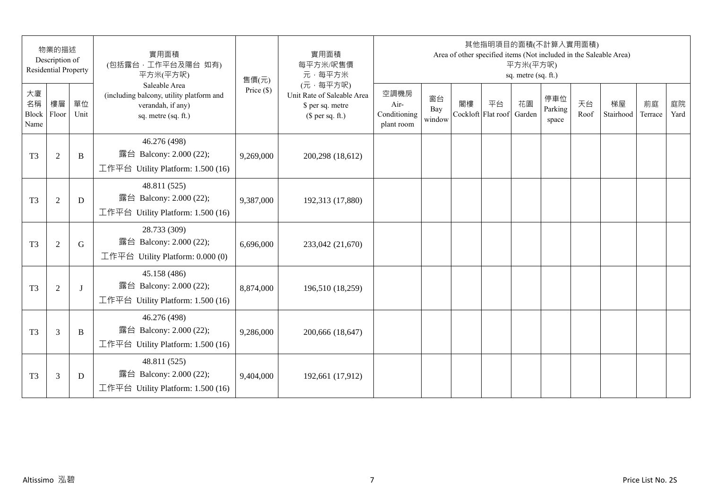|                                 | 物業的描述<br>Description of<br><b>Residential Property</b> |            | 實用面積<br>(包括露台,工作平台及陽台 如有)<br>平方米(平方呎)                                                                 | 售價(元)        | 實用面積<br>每平方米/呎售價<br>元·每平方米                                                     |                                            |                     |    | 其他指明項目的面積(不計算入實用面積)<br>Area of other specified items (Not included in the Saleable Area) | 平方米(平方呎)<br>sq. metre (sq. ft.) |                         |            |                 |               |            |
|---------------------------------|--------------------------------------------------------|------------|-------------------------------------------------------------------------------------------------------|--------------|--------------------------------------------------------------------------------|--------------------------------------------|---------------------|----|------------------------------------------------------------------------------------------|---------------------------------|-------------------------|------------|-----------------|---------------|------------|
| 大廈<br>名稱<br>Block Floor<br>Name | 樓層                                                     | 單位<br>Unit | Saleable Area<br>(including balcony, utility platform and<br>verandah, if any)<br>sq. metre (sq. ft.) | Price $(\$)$ | (元·每平方呎)<br>Unit Rate of Saleable Area<br>\$ per sq. metre<br>$$$ per sq. ft.) | 空調機房<br>Air-<br>Conditioning<br>plant room | 窗台<br>Bay<br>window | 閣樓 | 平台<br>Cockloft Flat roof                                                                 | 花園<br>Garden                    | 停車位<br>Parking<br>space | 天台<br>Roof | 梯屋<br>Stairhood | 前庭<br>Terrace | 庭院<br>Yard |
| T <sub>3</sub>                  | $\overline{2}$                                         | B          | 46.276 (498)<br>露台 Balcony: 2.000 (22);<br>工作平台 Utility Platform: 1.500 (16)                          | 9,269,000    | 200,298 (18,612)                                                               |                                            |                     |    |                                                                                          |                                 |                         |            |                 |               |            |
| T <sub>3</sub>                  | $\mathfrak{2}$                                         | D          | 48.811 (525)<br>露台 Balcony: 2.000 (22);<br>工作平台 Utility Platform: 1.500 (16)                          | 9,387,000    | 192,313 (17,880)                                                               |                                            |                     |    |                                                                                          |                                 |                         |            |                 |               |            |
| T <sub>3</sub>                  | $\mathfrak{2}$                                         | G          | 28.733 (309)<br>露台 Balcony: 2.000 (22);<br>工作平台 Utility Platform: 0.000 (0)                           | 6,696,000    | 233,042 (21,670)                                                               |                                            |                     |    |                                                                                          |                                 |                         |            |                 |               |            |
| T <sub>3</sub>                  | $\overline{2}$                                         | $\bf{J}$   | 45.158 (486)<br>露台 Balcony: 2.000 (22);<br>工作平台 Utility Platform: 1.500 (16)                          | 8,874,000    | 196,510 (18,259)                                                               |                                            |                     |    |                                                                                          |                                 |                         |            |                 |               |            |
| T <sub>3</sub>                  | 3                                                      | B          | 46.276 (498)<br>露台 Balcony: 2.000 (22);<br>工作平台 Utility Platform: 1.500 (16)                          | 9,286,000    | 200,666 (18,647)                                                               |                                            |                     |    |                                                                                          |                                 |                         |            |                 |               |            |
| T <sub>3</sub>                  | 3                                                      | D          | 48.811 (525)<br>露台 Balcony: 2.000 (22);<br>工作平台 Utility Platform: 1.500 (16)                          | 9,404,000    | 192,661 (17,912)                                                               |                                            |                     |    |                                                                                          |                                 |                         |            |                 |               |            |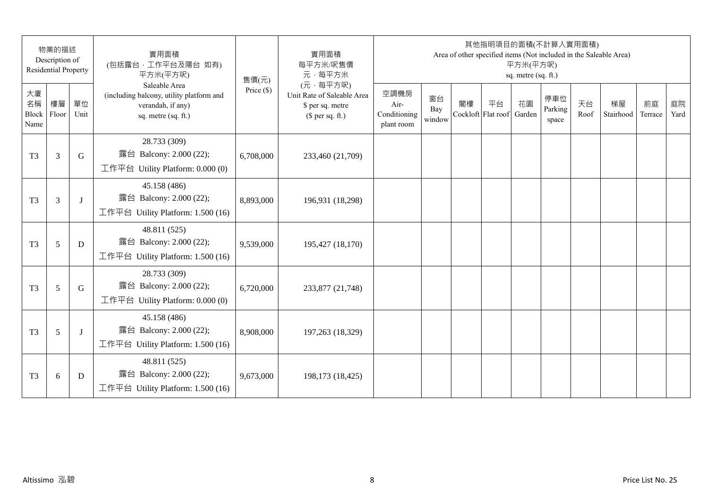|                                 | 物業的描述<br>Description of<br><b>Residential Property</b> |            | 實用面積<br>(包括露台,工作平台及陽台 如有)<br>平方米(平方呎)                                                                 | 售價(元)        | 實用面積<br>每平方米/呎售價<br>元·每平方米                                                     |                                            |                     |                          | 其他指明項目的面積(不計算入實用面積)<br>Area of other specified items (Not included in the Saleable Area) | 平方米(平方呎)<br>sq. metre (sq. ft.) |                         |            |                 |               |            |
|---------------------------------|--------------------------------------------------------|------------|-------------------------------------------------------------------------------------------------------|--------------|--------------------------------------------------------------------------------|--------------------------------------------|---------------------|--------------------------|------------------------------------------------------------------------------------------|---------------------------------|-------------------------|------------|-----------------|---------------|------------|
| 大廈<br>名稱<br>Block Floor<br>Name | 樓層                                                     | 單位<br>Unit | Saleable Area<br>(including balcony, utility platform and<br>verandah, if any)<br>sq. metre (sq. ft.) | Price $(\$)$ | (元·每平方呎)<br>Unit Rate of Saleable Area<br>\$ per sq. metre<br>$$$ per sq. ft.) | 空調機房<br>Air-<br>Conditioning<br>plant room | 窗台<br>Bay<br>window | 閣樓<br>Cockloft Flat roof | 平台                                                                                       | 花園<br>Garden                    | 停車位<br>Parking<br>space | 天台<br>Roof | 梯屋<br>Stairhood | 前庭<br>Terrace | 庭院<br>Yard |
| T <sub>3</sub>                  | 3                                                      | G          | 28.733 (309)<br>露台 Balcony: 2.000 (22);<br>工作平台 Utility Platform: 0.000 (0)                           | 6,708,000    | 233,460 (21,709)                                                               |                                            |                     |                          |                                                                                          |                                 |                         |            |                 |               |            |
| T <sub>3</sub>                  | 3                                                      | J          | 45.158 (486)<br>露台 Balcony: 2.000 (22);<br>工作平台 Utility Platform: 1.500 (16)                          | 8,893,000    | 196,931 (18,298)                                                               |                                            |                     |                          |                                                                                          |                                 |                         |            |                 |               |            |
| T <sub>3</sub>                  | 5                                                      | D          | 48.811 (525)<br>露台 Balcony: 2.000 (22);<br>工作平台 Utility Platform: 1.500 (16)                          | 9,539,000    | 195,427 (18,170)                                                               |                                            |                     |                          |                                                                                          |                                 |                         |            |                 |               |            |
| T <sub>3</sub>                  | 5                                                      | G          | 28.733 (309)<br>露台 Balcony: 2.000 (22);<br>工作平台 Utility Platform: 0.000 (0)                           | 6,720,000    | 233,877 (21,748)                                                               |                                            |                     |                          |                                                                                          |                                 |                         |            |                 |               |            |
| T <sub>3</sub>                  | 5                                                      | J          | 45.158 (486)<br>露台 Balcony: 2.000 (22);<br>工作平台 Utility Platform: 1.500 (16)                          | 8,908,000    | 197,263 (18,329)                                                               |                                            |                     |                          |                                                                                          |                                 |                         |            |                 |               |            |
| T <sub>3</sub>                  | $6\,$                                                  | D          | 48.811 (525)<br>露台 Balcony: 2.000 (22);<br>工作平台 Utility Platform: $1.500(16)$                         | 9,673,000    | 198,173 (18,425)                                                               |                                            |                     |                          |                                                                                          |                                 |                         |            |                 |               |            |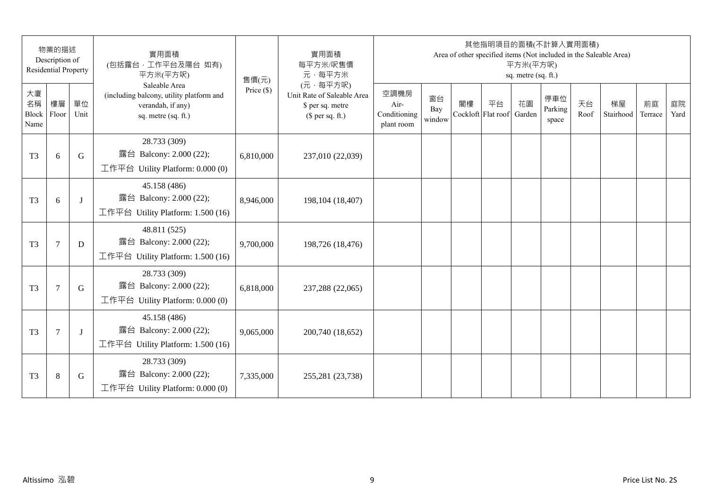|                                 | 物業的描述<br>Description of<br><b>Residential Property</b> |            | 實用面積<br>(包括露台, 工作平台及陽台 如有)<br>平方米(平方呎)                                                                | 售價(元)        | 實用面積<br>每平方米/呎售價<br>元·每平方米                                                     |                                            |                     |                          | 其他指明項目的面積(不計算入實用面積) | 平方米(平方呎)<br>sq. metre (sq. ft.) |                         |            | Area of other specified items (Not included in the Saleable Area) |               |            |
|---------------------------------|--------------------------------------------------------|------------|-------------------------------------------------------------------------------------------------------|--------------|--------------------------------------------------------------------------------|--------------------------------------------|---------------------|--------------------------|---------------------|---------------------------------|-------------------------|------------|-------------------------------------------------------------------|---------------|------------|
| 大廈<br>名稱<br>Block Floor<br>Name | 樓層                                                     | 單位<br>Unit | Saleable Area<br>(including balcony, utility platform and<br>verandah, if any)<br>sq. metre (sq. ft.) | Price $(\$)$ | (元·每平方呎)<br>Unit Rate of Saleable Area<br>\$ per sq. metre<br>$$$ per sq. ft.) | 空調機房<br>Air-<br>Conditioning<br>plant room | 窗台<br>Bay<br>window | 閣樓<br>Cockloft Flat roof | 平台                  | 花園<br>Garden                    | 停車位<br>Parking<br>space | 天台<br>Roof | 梯屋<br>Stairhood                                                   | 前庭<br>Terrace | 庭院<br>Yard |
| T <sub>3</sub>                  | 6                                                      | G          | 28.733 (309)<br>露台 Balcony: 2.000 (22);<br>工作平台 Utility Platform: 0.000 (0)                           | 6,810,000    | 237,010 (22,039)                                                               |                                            |                     |                          |                     |                                 |                         |            |                                                                   |               |            |
| T <sub>3</sub>                  | 6                                                      | $\bf{J}$   | 45.158 (486)<br>露台 Balcony: 2.000 (22);<br>工作平台 Utility Platform: 1.500 (16)                          | 8,946,000    | 198, 104 (18, 407)                                                             |                                            |                     |                          |                     |                                 |                         |            |                                                                   |               |            |
| T <sub>3</sub>                  | $\tau$                                                 | D          | 48.811 (525)<br>露台 Balcony: 2.000 (22);<br>工作平台 Utility Platform: 1.500 (16)                          | 9,700,000    | 198,726 (18,476)                                                               |                                            |                     |                          |                     |                                 |                         |            |                                                                   |               |            |
| T <sub>3</sub>                  | $\overline{7}$                                         | G          | 28.733 (309)<br>露台 Balcony: 2.000 (22);<br>工作平台 Utility Platform: 0.000 (0)                           | 6,818,000    | 237,288 (22,065)                                                               |                                            |                     |                          |                     |                                 |                         |            |                                                                   |               |            |
| T <sub>3</sub>                  | 7                                                      | J          | 45.158 (486)<br>露台 Balcony: 2.000 (22);<br>工作平台 Utility Platform: 1.500 (16)                          | 9,065,000    | 200,740 (18,652)                                                               |                                            |                     |                          |                     |                                 |                         |            |                                                                   |               |            |
| T <sub>3</sub>                  | $\,8\,$                                                | G          | 28.733 (309)<br>露台 Balcony: 2.000 (22);<br>工作平台 Utility Platform: 0.000 (0)                           | 7,335,000    | 255,281 (23,738)                                                               |                                            |                     |                          |                     |                                 |                         |            |                                                                   |               |            |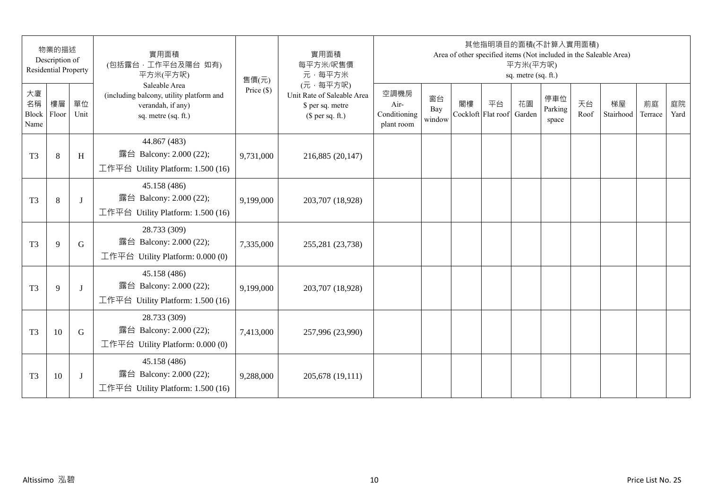|                           | 物業的描述<br>Description of<br><b>Residential Property</b> |            | 實用面積<br>(包括露台,工作平台及陽台 如有)<br>平方米(平方呎)                                                                 | 售價(元)        | 實用面積<br>每平方米/呎售價<br>元·每平方米                                                     |                                            |                     |    | 其他指明項目的面積(不計算入實用面積)      | 平方米(平方呎)<br>sq. metre (sq. ft.) |                         |            | Area of other specified items (Not included in the Saleable Area) |               |            |
|---------------------------|--------------------------------------------------------|------------|-------------------------------------------------------------------------------------------------------|--------------|--------------------------------------------------------------------------------|--------------------------------------------|---------------------|----|--------------------------|---------------------------------|-------------------------|------------|-------------------------------------------------------------------|---------------|------------|
| 大廈<br>名稱<br>Block<br>Name | 樓層<br>Floor                                            | 單位<br>Unit | Saleable Area<br>(including balcony, utility platform and<br>verandah, if any)<br>sq. metre (sq. ft.) | Price $(\$)$ | (元·每平方呎)<br>Unit Rate of Saleable Area<br>\$ per sq. metre<br>$$$ per sq. ft.) | 空調機房<br>Air-<br>Conditioning<br>plant room | 窗台<br>Bay<br>window | 閣樓 | 平台<br>Cockloft Flat roof | 花園<br>Garden                    | 停車位<br>Parking<br>space | 天台<br>Roof | 梯屋<br>Stairhood                                                   | 前庭<br>Terrace | 庭院<br>Yard |
| T <sub>3</sub>            | $8\,$                                                  | H          | 44.867 (483)<br>露台 Balcony: 2.000 (22);<br>工作平台 Utility Platform: 1.500 (16)                          | 9,731,000    | 216,885 (20,147)                                                               |                                            |                     |    |                          |                                 |                         |            |                                                                   |               |            |
| T <sub>3</sub>            | 8                                                      | J          | 45.158 (486)<br>露台 Balcony: 2.000 (22);<br>工作平台 Utility Platform: 1.500 (16)                          | 9,199,000    | 203,707 (18,928)                                                               |                                            |                     |    |                          |                                 |                         |            |                                                                   |               |            |
| T <sub>3</sub>            | 9                                                      | G          | 28.733 (309)<br>露台 Balcony: 2.000 (22);<br>工作平台 Utility Platform: 0.000 (0)                           | 7,335,000    | 255,281 (23,738)                                                               |                                            |                     |    |                          |                                 |                         |            |                                                                   |               |            |
| T <sub>3</sub>            | 9                                                      | J          | 45.158 (486)<br>露台 Balcony: 2.000 (22);<br>工作平台 Utility Platform: 1.500 (16)                          | 9,199,000    | 203,707 (18,928)                                                               |                                            |                     |    |                          |                                 |                         |            |                                                                   |               |            |
| T <sub>3</sub>            | 10                                                     | G          | 28.733 (309)<br>露台 Balcony: 2.000 (22);<br>工作平台 Utility Platform: 0.000 (0)                           | 7,413,000    | 257,996 (23,990)                                                               |                                            |                     |    |                          |                                 |                         |            |                                                                   |               |            |
| T <sub>3</sub>            | 10                                                     |            | 45.158 (486)<br>露台 Balcony: 2.000 (22);<br>工作平台 Utility Platform: 1.500 (16)                          | 9,288,000    | 205,678 (19,111)                                                               |                                            |                     |    |                          |                                 |                         |            |                                                                   |               |            |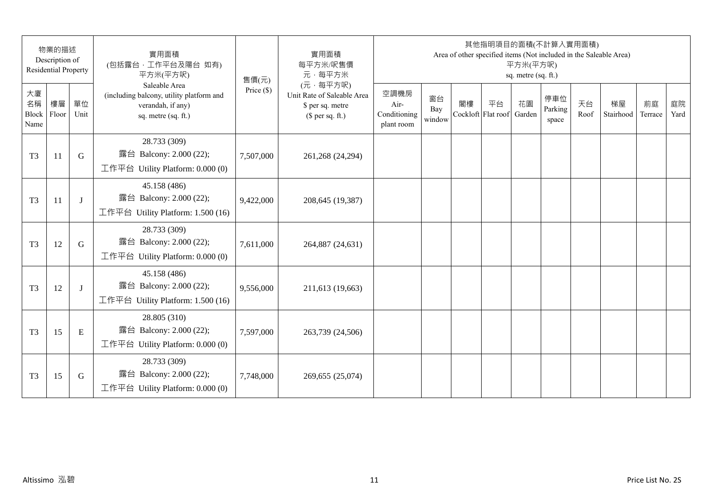| 物業的描述<br>Description of<br><b>Residential Property</b> |    |            | 實用面積<br>(包括露台,工作平台及陽台 如有)<br>平方米(平方呎)                                                                 | 售價(元)        | 實用面積<br>每平方米/呎售價<br>元·每平方米                                                     | 其他指明項目的面積(不計算入實用面積)<br>Area of other specified items (Not included in the Saleable Area)<br>平方米(平方呎)<br>sq. metre (sq. ft.) |                     |    |                          |              |                         |            |                 |               |            |
|--------------------------------------------------------|----|------------|-------------------------------------------------------------------------------------------------------|--------------|--------------------------------------------------------------------------------|-----------------------------------------------------------------------------------------------------------------------------|---------------------|----|--------------------------|--------------|-------------------------|------------|-----------------|---------------|------------|
| 大廈<br>名稱<br>Block Floor<br>Name                        | 樓層 | 單位<br>Unit | Saleable Area<br>(including balcony, utility platform and<br>verandah, if any)<br>sq. metre (sq. ft.) | Price $(\$)$ | (元·每平方呎)<br>Unit Rate of Saleable Area<br>\$ per sq. metre<br>$$$ per sq. ft.) | 空調機房<br>Air-<br>Conditioning<br>plant room                                                                                  | 窗台<br>Bay<br>window | 閣樓 | 平台<br>Cockloft Flat roof | 花園<br>Garden | 停車位<br>Parking<br>space | 天台<br>Roof | 梯屋<br>Stairhood | 前庭<br>Terrace | 庭院<br>Yard |
| T <sub>3</sub>                                         | 11 | G          | 28.733 (309)<br>露台 Balcony: 2.000 (22);<br>工作平台 Utility Platform: 0.000 (0)                           | 7,507,000    | 261,268 (24,294)                                                               |                                                                                                                             |                     |    |                          |              |                         |            |                 |               |            |
| T <sub>3</sub>                                         | 11 | J          | 45.158 (486)<br>露台 Balcony: 2.000 (22);<br>工作平台 Utility Platform: 1.500 (16)                          | 9,422,000    | 208,645 (19,387)                                                               |                                                                                                                             |                     |    |                          |              |                         |            |                 |               |            |
| T <sub>3</sub>                                         | 12 | G          | 28.733 (309)<br>露台 Balcony: 2.000 (22);<br>工作平台 Utility Platform: 0.000 (0)                           | 7,611,000    | 264,887 (24,631)                                                               |                                                                                                                             |                     |    |                          |              |                         |            |                 |               |            |
| T <sub>3</sub>                                         | 12 | J          | 45.158 (486)<br>露台 Balcony: 2.000 (22);<br>工作平台 Utility Platform: 1.500 (16)                          | 9,556,000    | 211,613 (19,663)                                                               |                                                                                                                             |                     |    |                          |              |                         |            |                 |               |            |
| T <sub>3</sub>                                         | 15 | E          | 28.805 (310)<br>露台 Balcony: 2.000 (22);<br>工作平台 Utility Platform: $0.000(0)$                          | 7,597,000    | 263,739 (24,506)                                                               |                                                                                                                             |                     |    |                          |              |                         |            |                 |               |            |
| T <sub>3</sub>                                         | 15 | G          | 28.733 (309)<br>露台 Balcony: 2.000 (22);<br>工作平台 Utility Platform: 0.000 (0)                           | 7,748,000    | 269,655 (25,074)                                                               |                                                                                                                             |                     |    |                          |              |                         |            |                 |               |            |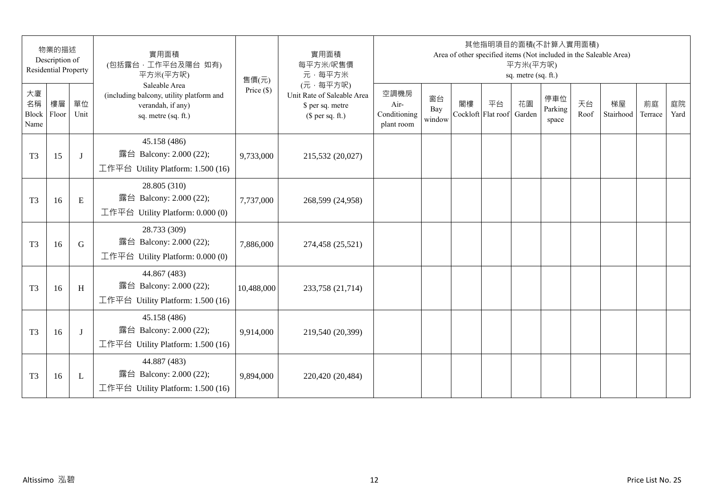| 物業的描述<br>Description of<br><b>Residential Property</b> |    |            | 實用面積<br>(包括露台,工作平台及陽台 如有)<br>平方米(平方呎)                                                                 | 售價(元)        | 實用面積<br>每平方米/呎售價<br>元·每平方米                                                     | 其他指明項目的面積(不計算入實用面積)<br>Area of other specified items (Not included in the Saleable Area)<br>平方米(平方呎)<br>sq. metre (sq. ft.) |                     |    |                          |              |                         |            |                 |               |            |
|--------------------------------------------------------|----|------------|-------------------------------------------------------------------------------------------------------|--------------|--------------------------------------------------------------------------------|-----------------------------------------------------------------------------------------------------------------------------|---------------------|----|--------------------------|--------------|-------------------------|------------|-----------------|---------------|------------|
| 大廈<br>名稱<br>Block Floor<br>Name                        | 樓層 | 單位<br>Unit | Saleable Area<br>(including balcony, utility platform and<br>verandah, if any)<br>sq. metre (sq. ft.) | Price $(\$)$ | (元·每平方呎)<br>Unit Rate of Saleable Area<br>\$ per sq. metre<br>$$$ per sq. ft.) | 空調機房<br>Air-<br>Conditioning<br>plant room                                                                                  | 窗台<br>Bay<br>window | 閣樓 | 平台<br>Cockloft Flat roof | 花園<br>Garden | 停車位<br>Parking<br>space | 天台<br>Roof | 梯屋<br>Stairhood | 前庭<br>Terrace | 庭院<br>Yard |
| T <sub>3</sub>                                         | 15 | J          | 45.158 (486)<br>露台 Balcony: 2.000 (22);<br>工作平台 Utility Platform: 1.500 (16)                          | 9,733,000    | 215,532 (20,027)                                                               |                                                                                                                             |                     |    |                          |              |                         |            |                 |               |            |
| T <sub>3</sub>                                         | 16 | E          | 28.805 (310)<br>露台 Balcony: 2.000 (22);<br>工作平台 Utility Platform: 0.000 (0)                           | 7,737,000    | 268,599 (24,958)                                                               |                                                                                                                             |                     |    |                          |              |                         |            |                 |               |            |
| T <sub>3</sub>                                         | 16 | G          | 28.733 (309)<br>露台 Balcony: 2.000 (22);<br>工作平台 Utility Platform: 0.000 (0)                           | 7,886,000    | 274,458 (25,521)                                                               |                                                                                                                             |                     |    |                          |              |                         |            |                 |               |            |
| T <sub>3</sub>                                         | 16 | H          | 44.867 (483)<br>露台 Balcony: 2.000 (22);<br>工作平台 Utility Platform: 1.500 (16)                          | 10,488,000   | 233,758 (21,714)                                                               |                                                                                                                             |                     |    |                          |              |                         |            |                 |               |            |
| T <sub>3</sub>                                         | 16 | J          | 45.158 (486)<br>露台 Balcony: 2.000 (22);<br>工作平台 Utility Platform: 1.500 (16)                          | 9,914,000    | 219,540 (20,399)                                                               |                                                                                                                             |                     |    |                          |              |                         |            |                 |               |            |
| T <sub>3</sub>                                         | 16 | L          | 44.887 (483)<br>露台 Balcony: 2.000 (22);<br>工作平台 Utility Platform: 1.500 (16)                          | 9,894,000    | 220,420 (20,484)                                                               |                                                                                                                             |                     |    |                          |              |                         |            |                 |               |            |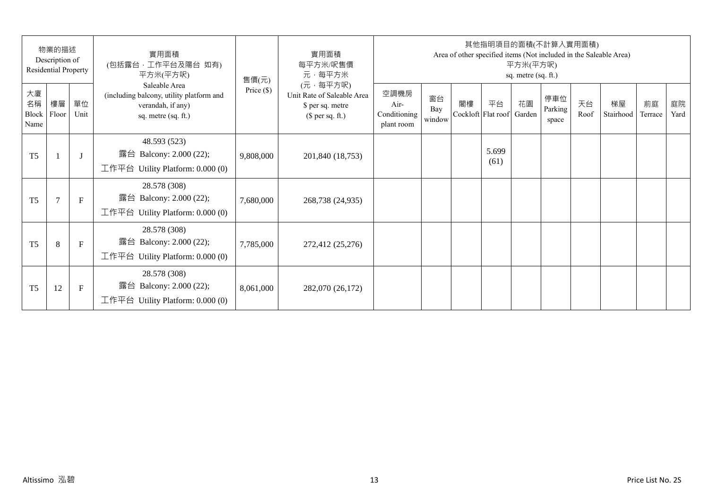| 物業的描述<br>Description of<br>Residential Property |                |              | 實用面積<br>(包括露台,工作平台及陽台 如有)<br>平方米(平方呎)                                                                 | 售價(元)        | 實用面積<br>每平方米/呎售價<br>元·每平方米                                                     | 其他指明項目的面積(不計算入實用面積)<br>Area of other specified items (Not included in the Saleable Area)<br>平方米(平方呎)<br>sq. metre (sq. ft.) |                     |    |                          |              |                         |            |                 |               |            |  |
|-------------------------------------------------|----------------|--------------|-------------------------------------------------------------------------------------------------------|--------------|--------------------------------------------------------------------------------|-----------------------------------------------------------------------------------------------------------------------------|---------------------|----|--------------------------|--------------|-------------------------|------------|-----------------|---------------|------------|--|
| 大廈<br>名稱<br>Block<br>Name                       | 樓層<br>Floor    | 單位<br>Unit   | Saleable Area<br>(including balcony, utility platform and<br>verandah, if any)<br>sq. metre (sq. ft.) | Price $(\$)$ | (元·每平方呎)<br>Unit Rate of Saleable Area<br>\$ per sq. metre<br>$$$ per sq. ft.) | 空調機房<br>Air-<br>Conditioning<br>plant room                                                                                  | 窗台<br>Bay<br>window | 閣樓 | 平台<br>Cockloft Flat roof | 花園<br>Garden | 停車位<br>Parking<br>space | 天台<br>Roof | 梯屋<br>Stairhood | 前庭<br>Terrace | 庭院<br>Yard |  |
| T <sub>5</sub>                                  |                | $\mathbf{J}$ | 48.593 (523)<br>露台 Balcony: 2.000 (22);<br>工作平台 Utility Platform: 0.000 (0)                           | 9,808,000    | 201,840 (18,753)                                                               |                                                                                                                             |                     |    | 5.699<br>(61)            |              |                         |            |                 |               |            |  |
| T <sub>5</sub>                                  | $\overline{7}$ | $\mathbf{F}$ | 28.578 (308)<br>露台 Balcony: 2.000 (22);<br>工作平台 Utility Platform: $0.000(0)$                          | 7,680,000    | 268,738 (24,935)                                                               |                                                                                                                             |                     |    |                          |              |                         |            |                 |               |            |  |
| T <sub>5</sub>                                  | 8              | $\mathbf{F}$ | 28.578 (308)<br>露台 Balcony: 2.000 (22);<br>工作平台 Utility Platform: $0.000(0)$                          | 7,785,000    | 272,412 (25,276)                                                               |                                                                                                                             |                     |    |                          |              |                         |            |                 |               |            |  |
| T <sub>5</sub>                                  | 12             | F            | 28.578 (308)<br>Balcony: 2.000 (22);<br>露台<br>工作平台 Utility Platform: $0.000(0)$                       | 8,061,000    | 282,070 (26,172)                                                               |                                                                                                                             |                     |    |                          |              |                         |            |                 |               |            |  |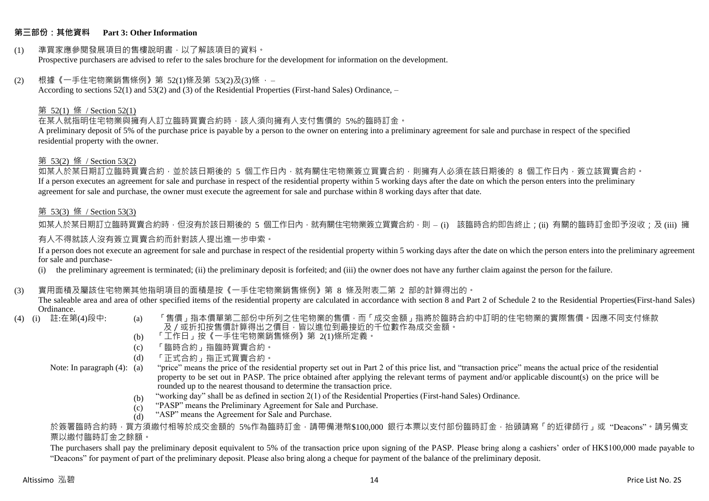#### **第三部份:其他資料 Part 3: Other Information**

#### (1) 準買家應參閱發展項目的售樓說明書,以了解該項目的資料。 Prospective purchasers are advised to refer to the sales brochure for the development for information on the development.

#### $(2)$  根據《一手住宅物業銷售條例》第 52(1)條及第 53(2)及(3)條,

According to sections 52(1) and 53(2) and (3) of the Residential Properties (First-hand Sales) Ordinance, –

### 第 52(1) 條 / Section 52(1)

在某人就指明住宅物業與擁有人訂立臨時買賣合約時,該人須向擁有人支付售價的 5%的臨時訂金。

A preliminary deposit of 5% of the purchase price is payable by a person to the owner on entering into a preliminary agreement for sale and purchase in respect of the specified residential property with the owner.

#### 第 53(2) 條 / Section 53(2)

如某人於某日期訂立臨時買賣合約,並於該日期後的 5 個工作日內,就有關住宅物業簽立買賣合約,則擁有人必須在該日期後的 8 個工作日內,簽立該買賣合約。 If a person executes an agreement for sale and purchase in respect of the residential property within 5 working days after the date on which the person enters into the preliminary agreement for sale and purchase, the owner must execute the agreement for sale and purchase within 8 working days after that date.

### 第 53(3) 條 / Section 53(3)

如某人於某日期訂立臨時買賣合約時,但沒有於該日期後的 5 個工作日內,就有關住宅物業簽立買賣合約,則 – (i) 該臨時合約即告終止;(ii) 有關的臨時訂金即予沒收;及 (iii) 擁 有人不得就該人沒有簽立買賣合約而針對該人提出進一步申索。

If a person does not execute an agreement for sale and purchase in respect of the residential property within 5 working days after the date on which the person enters into the preliminary agreement for sale and purchase-

(i) the preliminary agreement is terminated; (ii) the preliminary deposit is forfeited; and (iii) the owner does not have any further claim against the person for the failure.

#### (3) 實用面積及屬該住宅物業其他指明項目的面積是按《一手住宅物業銷售條例》第 8 條及附表二第 2 部的計算得出的。

The saleable area and area of other specified items of the residential property are calculated in accordance with section 8 and Part 2 of Schedule 2 to the Residential Properties(First-hand Sales) Ordinance.<br>(4) (i) 註:在第(4)段中:

- 
- (a) 「售價」指本價單第二部份中所列之住宅物業的售價,而「成交金額」指將於臨時合約中訂明的住宅物業的實際售價。因應不同支付條款 及/或折扣按售價計算得出之價目,皆以進位到最接近的千位數作為成交金額。
- (b) 「工作日」按《一手住宅物業銷售條例》第 2(1)條所定義。
- (c) 「臨時合約」指臨時買賣合約。
- (d) 「正式合約」指正式買賣合約。
- Note: In paragraph (4): (a)
- "price" means the price of the residential property set out in Part 2 of this price list, and "transaction price" means the actual price of the residential property to be set out in PASP. The price obtained after applying the relevant terms of payment and/or applicable discount(s) on the price will be rounded up to the nearest thousand to determine the transaction price.
	- (b) "working day" shall be as defined in section 2(1) of the Residential Properties (First-hand Sales) Ordinance.
	- (c) "PASP" means the Preliminary Agreement for Sale and Purchase.
	- (d) "ASP" means the Agreement for Sale and Purchase.

於簽署臨時合約時,買方須繳付相等於成交金額的 5%作為臨時訂金,請帶備港幣\$100,000 銀行本票以支付部份臨時訂金,抬頭請寫「的近律師行」或"Deacons"。請另備支 票以繳付臨時訂金之餘額。

The purchasers shall pay the preliminary deposit equivalent to 5% of the transaction price upon signing of the PASP. Please bring along a cashiers' order of HK\$100,000 made payable to "Deacons" for payment of part of the preliminary deposit. Please also bring along a cheque for payment of the balance of the preliminary deposit.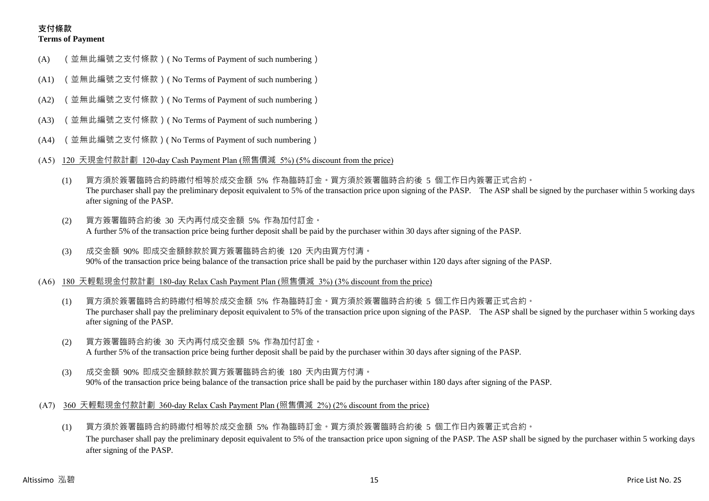## **支付條款 Terms of Payment**

- (A) (並無此編號之支付條款)( No Terms of Payment of such numbering)
- (A1) (並無此編號之支付條款)( No Terms of Payment of such numbering)
- (A2) (並無此編號之支付條款)( No Terms of Payment of such numbering)
- (A3) (並無此編號之支付條款)( No Terms of Payment of such numbering)
- (A4) (並無此編號之支付條款)( No Terms of Payment of such numbering)
- (A5) 120 天現金付款計劃 120-day Cash Payment Plan (照售價減 5%) (5% discount from the price)
	- (1) 買方須於簽署臨時合約時繳付相等於成交金額 5% 作為臨時訂金。買方須於簽署臨時合約後 5 個工作日內簽署正式合約。 The purchaser shall pay the preliminary deposit equivalent to 5% of the transaction price upon signing of the PASP. The ASP shall be signed by the purchaser within 5 working days after signing of the PASP.
	- (2) 買方簽署臨時合約後 30 天內再付成交金額 5% 作為加付訂金。 A further 5% of the transaction price being further deposit shall be paid by the purchaser within 30 days after signing of the PASP.
	- (3) 成交金額 90% 即成交金額餘款於買方簽署臨時合約後 120 天內由買方付清。 90% of the transaction price being balance of the transaction price shall be paid by the purchaser within 120 days after signing of the PASP.
- (A6) 180 天輕鬆現金付款計劃 180-day Relax Cash Payment Plan (照售價減 3%) (3% discount from the price)
	- (1) 買方須於簽署臨時合約時繳付相等於成交金額 5% 作為臨時訂金。買方須於簽署臨時合約後 5 個工作日內簽署正式合約。 The purchaser shall pay the preliminary deposit equivalent to 5% of the transaction price upon signing of the PASP. The ASP shall be signed by the purchaser within 5 working days after signing of the PASP.
	- (2) 買方簽署臨時合約後 30 天內再付成交金額 5% 作為加付訂金。 A further 5% of the transaction price being further deposit shall be paid by the purchaser within 30 days after signing of the PASP.
	- (3) 成交金額 90% 即成交金額餘款於買方簽署臨時合約後 180 天內由買方付清。 90% of the transaction price being balance of the transaction price shall be paid by the purchaser within 180 days after signing of the PASP.
- (A7) 360 天輕鬆現金付款計劃 360-day Relax Cash Payment Plan (照售價減 2%) (2% discount from the price)
	- (1) 買方須於簽署臨時合約時繳付相等於成交金額 5% 作為臨時訂金。買方須於簽署臨時合約後 5 個工作日內簽署正式合約。 The purchaser shall pay the preliminary deposit equivalent to 5% of the transaction price upon signing of the PASP. The ASP shall be signed by the purchaser within 5 working days after signing of the PASP.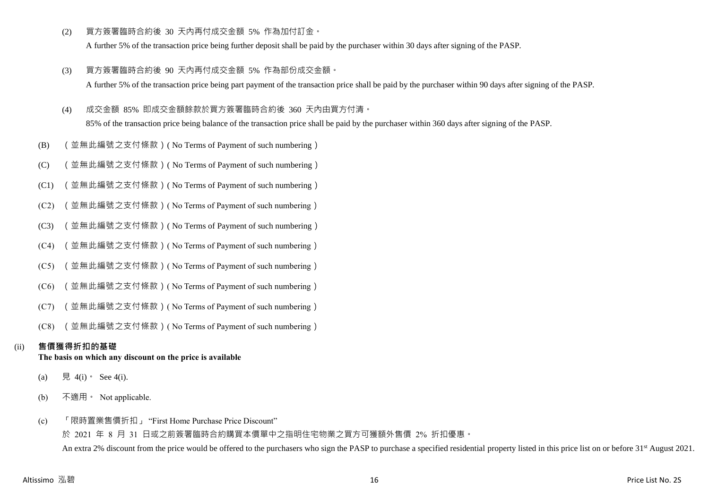(2) 買方簽署臨時合約後 30 天內再付成交金額 5% 作為加付訂金。

A further 5% of the transaction price being further deposit shall be paid by the purchaser within 30 days after signing of the PASP.

- (3) 買方簽署臨時合約後 90 天內再付成交金額 5% 作為部份成交金額。 A further 5% of the transaction price being part payment of the transaction price shall be paid by the purchaser within 90 days after signing of the PASP.
- (4) 成交金額 85% 即成交金額餘款於買方簽署臨時合約後 360 天內由買方付清。

85% of the transaction price being balance of the transaction price shall be paid by the purchaser within 360 days after signing of the PASP.

- (B) (並無此編號之支付條款)( No Terms of Payment of such numbering)
- (C) (並無此編號之支付條款)( No Terms of Payment of such numbering)
- (C1) (並無此編號之支付條款)( No Terms of Payment of such numbering)
- (C2) (並無此編號之支付條款)( No Terms of Payment of such numbering)
- (C3) (並無此編號之支付條款)( No Terms of Payment of such numbering)
- (C4) (並無此編號之支付條款)( No Terms of Payment of such numbering)
- (C5) (並無此編號之支付條款)( No Terms of Payment of such numbering)
- (C6) (並無此編號之支付條款)( No Terms of Payment of such numbering)
- (C7) (並無此編號之支付條款)( No Terms of Payment of such numbering)
- (C8) (並無此編號之支付條款)( No Terms of Payment of such numbering)

# (ii) **售價獲得折扣的基礎**

## **The basis on which any discount on the price is available**

- (a) 見 4(i) See 4(i).
- (b) 不適用。 Not applicable.
- (c) 「限時置業售價折扣」 "First Home Purchase Price Discount"

於 2021 年 8 月 31 日或之前簽署臨時合約購買本價單中之指明住宅物業之買方可獲額外售價 2% 折扣優惠。 An extra 2% discount from the price would be offered to the purchasers who sign the PASP to purchase a specified residential property listed in this price list on or before 31<sup>st</sup> August 2021.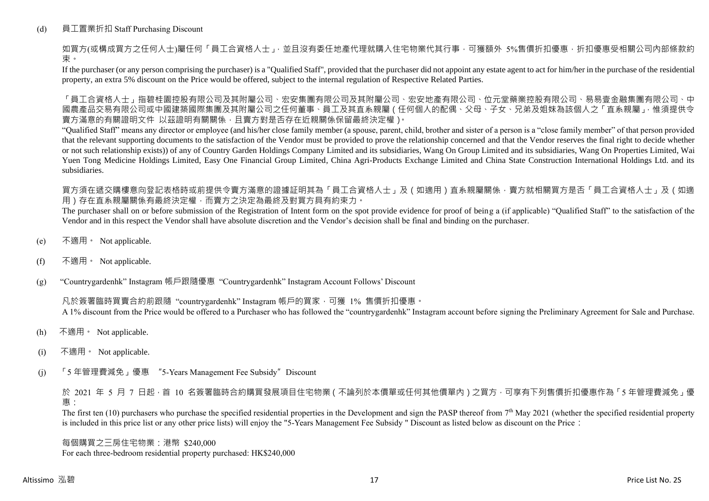### (d) 員工置業折扣 Staff Purchasing Discount

如買方(或構成買方之任何人士)屬任何「員工合資格人士」,並且沒有委任地產代理就購入住宅物業代其行事,可獲額外 5%售價折扣優惠,折扣優惠受相關公司內部條款約 束。

If the purchaser (or any person comprising the purchaser) is a "Qualified Staff", provided that the purchaser did not appoint any estate agent to act for him/her in the purchase of the residential property, an extra 5% discount on the Price would be offered, subject to the internal regulation of Respective Related Parties.

「員工合資格人士」指碧桂園控股有限公司及其附屬公司、宏安集團有限公司及其附屬公司、宏安地產有限公司、位元堂藥業控股有限公司、易易壹金融集團有限公司、中 國農產品交易有限公司或中國建築國際集團及其附屬公司之任何董事、員工及其直系親屬(任何個人的配偶、父母、子女、兄弟及姐妹為該個人之「直系親屬」,惟須提供令 賣方滿意的有關證明文件 以茲證明有關關係,且賣方對是否存在近親關係保留最終決定權)。

"Qualified Staff" means any director or employee (and his/her close family member (a spouse, parent, child, brother and sister of a person is a "close family member" of that person provided that the relevant supporting documents to the satisfaction of the Vendor must be provided to prove the relationship concerned and that the Vendor reserves the final right to decide whether or not such relationship exists)) of any of Country Garden Holdings Company Limited and its subsidiaries, Wang On Group Limited and its subsidiaries, Wang On Properties Limited, Wai Yuen Tong Medicine Holdings Limited, Easy One Financial Group Limited, China Agri-Products Exchange Limited and China State Construction International Holdings Ltd. and its subsidiaries.

買方須在遞交購樓意向登記表格時或前提供令賣方滿意的證據証明其為「員工合資格人士」及(如適用)直系親屬關係,賣方就相關買方是否「員工合資格人士」及(如適 用)存在直系親屬關係有最終決定權,而賣方之決定為最終及對買方具有約束力。

The purchaser shall on or before submission of the Registration of Intent form on the spot provide evidence for proof of being a (if applicable) "Qualified Staff" to the satisfaction of the Vendor and in this respect the Vendor shall have absolute discretion and the Vendor's decision shall be final and binding on the purchaser.

- (e) 不適用。 Not applicable.
- (f) 不適用。 Not applicable.

(g) "Countrygardenhk" Instagram 帳戶跟隨優惠 "Countrygardenhk" Instagram Account Follows' Discount

凡於簽署臨時買賣合約前跟隨 "countrygardenhk" Instagram 帳戶的買家,可獲 1% 售價折扣優惠。 A 1% discount from the Price would be offered to a Purchaser who has followed the "countrygardenhk" Instagram account before signing the Preliminary Agreement for Sale and Purchase.

- (h) 不適用。 Not applicable.
- (i) 不適用。 Not applicable.
- (j) 「5 年管理費減免」優惠 "5-Years Management Fee Subsidy"Discount

於 2021 年 5 月 7 日起,首 10 名簽署臨時合約購買發展項目住宅物業 ( 不論列於本價單或任何其他價單內 ) 之買方, 可享有下列售價折扣優惠作為 「5 年管理費減免」優 惠:

The first ten  $(10)$  purchasers who purchase the specified residential properties in the Development and sign the PASP thereof from  $7<sup>th</sup>$  May 2021 (whether the specified residential property is included in this price list or any other price lists) will enjoy the "5-Years Management Fee Subsidy " Discount as listed below as discount on the Price:

每個購買之三房住宅物業:港幣 \$240,000 For each three-bedroom residential property purchased: HK\$240,000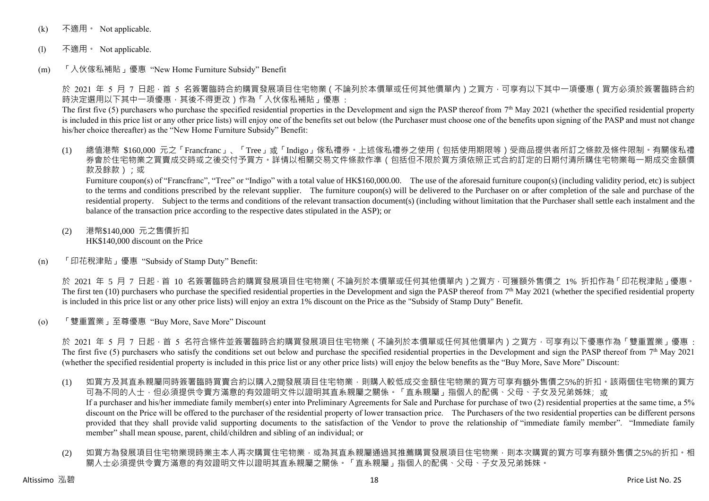- (k) 不適用 · Not applicable.
- (l) 不適用。 Not applicable.
- (m) 「入伙傢私補貼」優惠 "New Home Furniture Subsidy" Benefit

於 2021 年 5 月 7 日起 · 首 5 名簽署臨時合約購買發展項目住宅物業 ( 不論列於本價單或任何其他價單內 ) 之買方 · 可享有以下其中一項優惠 ( 買方必須於簽署臨時合約 時決定選用以下其中一項優惠,其後不得更改)作為「入伙傢私補貼」優惠:

The first five (5) purchasers who purchase the specified residential properties in the Development and sign the PASP thereof from  $7<sup>th</sup>$  May 2021 (whether the specified residential property is included in this price list or any other price lists) will enjoy one of the benefits set out below (the Purchaser must choose one of the benefits upon signing of the PASP and must not change his/her choice thereafter) as the "New Home Furniture Subsidy" Benefit:

(1) 總值港幣 \$160,000 元之「Francfranc」、「Tree」或「Indigo」傢私禮券。上述傢私禮券之使用(包括使用期限等)受商品提供者所訂之條款及條件限制。有關傢私禮 券會於住宅物業之買賣成交時或之後交付予買方。詳情以相關交易文件條款作準(包括但不限於買方須依照正式合約訂定的日期付清所購住宅物業每一期成交金額價 款及餘款);或

Furniture coupon(s) of "Francfranc", "Tree" or "Indigo" with a total value of HK\$160,000.00. The use of the aforesaid furniture coupon(s) (including validity period, etc) is subject to the terms and conditions prescribed by the relevant supplier. The furniture coupon(s) will be delivered to the Purchaser on or after completion of the sale and purchase of the residential property. Subject to the terms and conditions of the relevant transaction document(s) (including without limitation that the Purchaser shall settle each instalment and the balance of the transaction price according to the respective dates stipulated in the ASP); or

- (2) 港幣\$140,000 元之售價折扣 HK\$140,000 discount on the Price
- (n) 「印花稅津貼」優惠 "Subsidy of Stamp Duty" Benefit:

於 2021 年 5 月 7 日起,首 10 名簽署臨時合約購買發展項目住宅物業(不論列於本價單或任何其他價單內)之買方,可獲額外售價之 1% 折扣作為「印花稅津貼」優惠。 The first ten (10) purchasers who purchase the specified residential properties in the Development and sign the PASP thereof from  $7<sup>th</sup>$  May 2021 (whether the specified residential property is included in this price list or any other price lists) will enjoy an extra 1% discount on the Price as the "Subsidy of Stamp Duty" Benefit.

(o) 「雙重置業」至尊優惠 "Buy More, Save More" Discount

於 2021 年 5 月 7 日起,首 5 名符合條件並簽署臨時合約購買發展項目住宅物業 ( 不論列於本價單或任何其他價單內 ) 之買方,可享有以下優惠作為「雙重置業」優惠 : The first five (5) purchasers who satisfy the conditions set out below and purchase the specified residential properties in the Development and sign the PASP thereof from  $7<sup>th</sup>$  May 2021 (whether the specified residential property is included in this price list or any other price lists) will enjoy the below benefits as the "Buy More, Save More" Discount:

- (1) 如買方及其直系親屬同時簽署臨時買賣合約以購入2間發展項目住宅物業,則購入較低成交金額住宅物業的買方可享有額外售價之5%的折扣。該兩個住宅物業的買方 可為不同的人士,但必須提供令賣方滿意的有效證明文件以證明其直系親屬之關係。「直系親屬」指個人的配偶、父母、子女及兄弟姊妹;或 If a purchaser and his/her immediate family member(s) enter into Preliminary Agreements for Sale and Purchase for purchase of two (2) residential properties at the same time, a 5% discount on the Price will be offered to the purchaser of the residential property of lower transaction price. The Purchasers of the two residential properties can be different persons provided that they shall provide valid supporting documents to the satisfaction of the Vendor to prove the relationship of "immediate family member". "Immediate family member" shall mean spouse, parent, child/children and sibling of an individual; or
- (2) 如買方為發展項目住宅物業現時業主本人再次購買住宅物業,或為其直系親屬通過其推薦購買發展項目住宅物業,則本次購買的買方可享有額外售價之5%的折扣。相 關人士必須提供令賣方滿意的有效證明文件以證明其直系親屬之關係。「直系親屬」指個人的配偶、父母、子女及兄弟姊妹。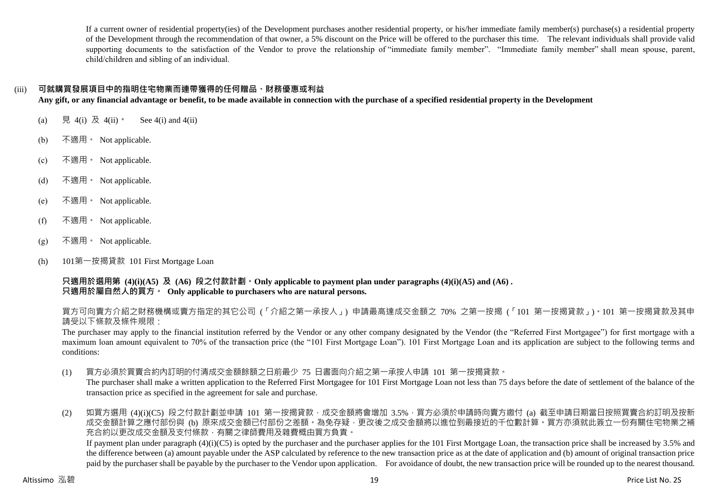If a current owner of residential property(ies) of the Development purchases another residential property, or his/her immediate family member(s) purchase(s) a residential property of the Development through the recommendation of that owner, a 5% discount on the Price will be offered to the purchaser this time. The relevant individuals shall provide valid supporting documents to the satisfaction of the Vendor to prove the relationship of "immediate family member". "Immediate family member" shall mean spouse, parent, child/children and sibling of an individual.

## (iii) **可就購買發展項目中的指明住宅物業而連帶獲得的任何贈品、財務優惠或利益**

**Any gift, or any financial advantage or benefit, to be made available in connection with the purchase of a specified residential property in the Development**

- (a)  $\quad \nexists \quad 4(i) \; \nexists \quad 4(ii) \; \cdot \quad \text{See } 4(i) \text{ and } 4(ii)$
- (b) 不適用。 Not applicable.
- (c) 不適用。 Not applicable.
- (d) 不適用。 Not applicable.
- (e) 不適用。 Not applicable.
- (f) 不適用 Not applicable.
- (g) 不適用。 Not applicable.
- (h) 101第一按揭貸款 101 First Mortgage Loan

**只適用於選用第 (4)(i)(A5) 及 (A6) 段之付款計劃。Only applicable to payment plan under paragraphs (4)(i)(A5) and (A6) . 只適用於屬自然人的買方。 Only applicable to purchasers who are natural persons.**

買方可向賣方介紹之財務機構或賣方指定的其它公司 (「介紹之第一承按人」) 申請最高達成交金額之 70% 之第一按揭 (「101 第一按揭貸款」)。101 第一按揭貸款及其申 請受以下條款及條件規限:

The purchaser may apply to the financial institution referred by the Vendor or any other company designated by the Vendor (the "Referred First Mortgagee") for first mortgage with a maximum loan amount equivalent to 70% of the transaction price (the "101 First Mortgage Loan"). 101 First Mortgage Loan and its application are subject to the following terms and conditions:

(1) 買方必須於買賣合約內訂明的付清成交金額餘額之日前最少 75 日書面向介紹之第一承按人申請 101 第一按揭貸款。

The purchaser shall make a written application to the Referred First Mortgagee for 101 First Mortgage Loan not less than 75 days before the date of settlement of the balance of the transaction price as specified in the agreement for sale and purchase.

(2) 如買方選用 (4)(i)(C5) 段之付款計劃並申請 101 第一按揭貸款,成交金額將會增加 3.5%,買方必須於申請時向賣方繳付 (a) 截至申請日期當日按照買賣合約訂明及按新 成交金額計算之應付部份與 (b) 原來成交金額已付部份之差額。為免存疑,更改後之成交金額將以進位到最接近的千位數計算。買方亦須就此簽立一份有關住宅物業之補 充合約以更改成交金額及支付條款,有關之律師費用及雜費概由買方負責。 If payment plan under paragraph  $(4)(i)(C5)$  is opted by the purchaser and the purchaser applies for the 101 First Mortgage Loan, the transaction price shall be increased by 3.5% and

the difference between (a) amount payable under the ASP calculated by reference to the new transaction price as at the date of application and (b) amount of original transaction price paid by the purchaser shall be payable by the purchaser to the Vendor upon application. For avoidance of doubt, the new transaction price will be rounded up to the nearest thousand.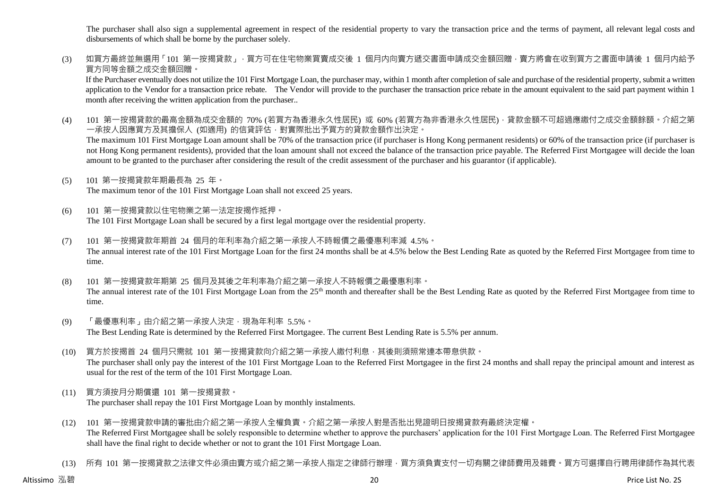The purchaser shall also sign a supplemental agreement in respect of the residential property to vary the transaction price and the terms of payment, all relevant legal costs and disbursements of which shall be borne by the purchaser solely.

(3) 如買方最終並無選用「101 第一按揭貸款」,買方可在住宅物業買賣成交後 1 個月内向賣方遞交書面申請成交金額回贈,賣方將會在收到買方之書面申請後 1 個月内給予 買方同等金額之成交金額回贈。

If the Purchaser eventually does not utilize the 101 First Mortgage Loan, the purchaser may, within 1 month after completion of sale and purchase of the residential property, submit a written application to the Vendor for a transaction price rebate. The Vendor will provide to the purchaser the transaction price rebate in the amount equivalent to the said part payment within 1 month after receiving the written application from the purchaser..

(4) 101 第一按揭貸款的最高金額為成交金額的 70% (若買方為香港永久性居民) 或 60% (若買方為非香港永久性居民) · 貸款金額不可超過應繳付之成交金額餘額。介紹之第 一承按人因應買方及其擔保人 (如適用) 的信貸評估,對實際批出予買方的貸款金額作出決定。

The maximum 101 First Mortgage Loan amount shall be 70% of the transaction price (if purchaser is Hong Kong permanent residents) or 60% of the transaction price (if purchaser is not Hong Kong permanent residents), provided that the loan amount shall not exceed the balance of the transaction price payable. The Referred First Mortgagee will decide the loan amount to be granted to the purchaser after considering the result of the credit assessment of the purchaser and his guarantor (if applicable).

- (5) 101 第一按揭貸款年期最長為 25 年。 The maximum tenor of the 101 First Mortgage Loan shall not exceed 25 years.
- (6) 101 第一按揭貸款以住宅物業之第一法定按揭作抵押。 The 101 First Mortgage Loan shall be secured by a first legal mortgage over the residential property.
- (7) 101 第一按揭貸款年期首 24 個月的年利率為介紹之第一承按人不時報價之最優惠利率減 4.5%。 The annual interest rate of the 101 First Mortgage Loan for the first 24 months shall be at 4.5% below the Best Lending Rate as quoted by the Referred First Mortgagee from time to time.
- (8) 101 第一按揭貸款年期第 25 個月及其後之年利率為介紹之第一承按人不時報價之最優惠利率。 The annual interest rate of the 101 First Mortgage Loan from the 25<sup>th</sup> month and thereafter shall be the Best Lending Rate as quoted by the Referred First Mortgagee from time to time.
- (9) 「最優惠利率」由介紹之第一承按人決定,現為年利率 5.5%。 The Best Lending Rate is determined by the Referred First Mortgagee. The current Best Lending Rate is 5.5% per annum.
- (10) 買方於按揭首 24 個月只需就 101 第一按揭貸款向介紹之第一承按人繳付利息,其後則須照常連本帶息供款。 The purchaser shall only pay the interest of the 101 First Mortgage Loan to the Referred First Mortgagee in the first 24 months and shall repay the principal amount and interest as usual for the rest of the term of the 101 First Mortgage Loan.
- (11) 買方須按月分期償還 101 第一按揭貸款。 The purchaser shall repay the 101 First Mortgage Loan by monthly instalments.
- (12) 101 第一按揭貸款申請的審批由介紹之第一承按人全權負責。介紹之第一承按人對是否批出見證明日按揭貸款有最終決定權。 The Referred First Mortgagee shall be solely responsible to determine whether to approve the purchasers' application for the 101 First Mortgage Loan. The Referred First Mortgagee shall have the final right to decide whether or not to grant the 101 First Mortgage Loan.
- (13) 所有 101 第一按揭貸款之法律文件必須由賣方或介紹之第一承按人指定之律師行辦理,買方須負責支付一切有關之律師費用及雜費。買方可選擇自行聘用律師作為其代表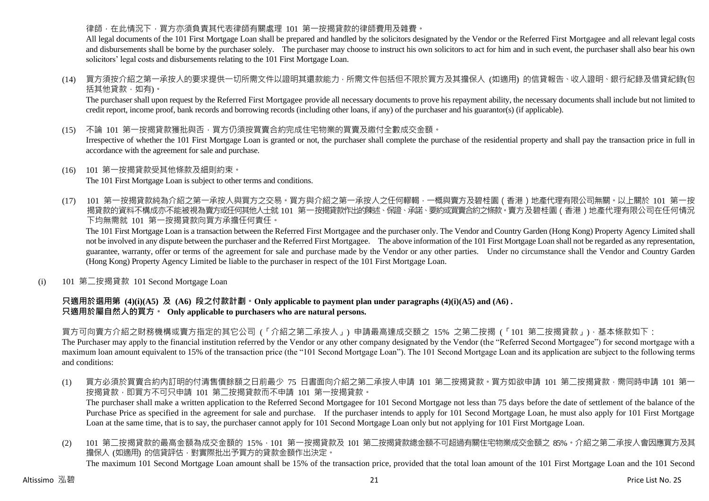### 律師,在此情況下,買方亦須負責其代表律師有關處理 101 第一按揭貸款的律師費用及雜費。

All legal documents of the 101 First Mortgage Loan shall be prepared and handled by the solicitors designated by the Vendor or the Referred First Mortgagee and all relevant legal costs and disbursements shall be borne by the purchaser solely. The purchaser may choose to instruct his own solicitors to act for him and in such event, the purchaser shall also bear his own solicitors' legal costs and disbursements relating to the 101 First Mortgage Loan.

(14) 買方須按介紹之第一承按人的要求提供一切所需文件以證明其還款能力,所需文件包括但不限於買方及其擔保人 (如適用) 的信貸報告、收入證明、銀行紀錄及借貸紀錄(包 括其他貸款,如有)。

The purchaser shall upon request by the Referred First Mortgagee provide all necessary documents to prove his repayment ability, the necessary documents shall include but not limited to credit report, income proof, bank records and borrowing records (including other loans, if any) of the purchaser and his guarantor(s) (if applicable).

(15) 不論 101 第一按揭貸款獲批與否,買方仍須按買賣合約完成住宅物業的買賣及繳付全數成交金額。

Irrespective of whether the 101 First Mortgage Loan is granted or not, the purchaser shall complete the purchase of the residential property and shall pay the transaction price in full in accordance with the agreement for sale and purchase.

- (16) 101 第一按揭貸款受其他條款及細則約束。 The 101 First Mortgage Loan is subject to other terms and conditions.
- (17) 101 第一按揭貸款純為介紹之第一承按人與買方之交易。買方與介紹之第一承按人之任何轇輵,一概與賣方及碧桂園(香港)地產代理有限公司無關。以上關於 101 第一按 揭貸款的資料不構成亦不能被視為賣方或任何其他人士就 101 第一按揭貸款作出的陳述、保證、承諾、要約或買賣合約之條款。賣方及碧桂園(香港)地產代理有限公司在任何情況 下均無需就 101 第一按揭貸款向買方承擔任何責任。

The 101 First Mortgage Loan is a transaction between the Referred First Mortgagee and the purchaser only. The Vendor and Country Garden (Hong Kong) Property Agency Limited shall not be involved in any dispute between the purchaser and the Referred First Mortgagee. The above information of the 101 First Mortgage Loan shall not be regarded as any representation, guarantee, warranty, offer or terms of the agreement for sale and purchase made by the Vendor or any other parties. Under no circumstance shall the Vendor and Country Garden (Hong Kong) Property Agency Limited be liable to the purchaser in respect of the 101 First Mortgage Loan.

(i) 101 第二按揭貸款 101 Second Mortgage Loan

## **只適用於選用第 (4)(i)(A5) 及 (A6) 段之付款計劃。Only applicable to payment plan under paragraphs (4)(i)(A5) and (A6) . 只適用於屬自然人的買方。 Only applicable to purchasers who are natural persons.**

買方可向賣方介紹之財務機構或賣方指定的其它公司 (「介紹之第二承按人」) 申請最高達成交額之 15% 之第二按揭 (「101 第二按揭貸款」),基本條款如下:

The Purchaser may apply to the financial institution referred by the Vendor or any other company designated by the Vendor (the "Referred Second Mortgagee") for second mortgage with a maximum loan amount equivalent to 15% of the transaction price (the "101 Second Mortgage Loan"). The 101 Second Mortgage Loan and its application are subject to the following terms and conditions:

(1) 買方必須於買賣合約內訂明的付清售價餘額之日前最少 75 日書面向介紹之第二承按人申請 101 第二按揭貸款。買方如欲申請 101 第二按揭貸款,需同時申請 101 第一 按揭貸款,即買方不可只申請 101 第二按揭貸款而不申請 101 第一按揭貸款。

The purchaser shall make a written application to the Referred Second Mortgagee for 101 Second Mortgage not less than 75 days before the date of settlement of the balance of the Purchase Price as specified in the agreement for sale and purchase. If the purchaser intends to apply for 101 Second Mortgage Loan, he must also apply for 101 First Mortgage Loan at the same time, that is to say, the purchaser cannot apply for 101 Second Mortgage Loan only but not applying for 101 First Mortgage Loan.

(2) 101 第二按揭貸款的最高金額為成交金額的 15%,101 第一按揭貸款及 101 第二按揭貸款總金額不可超過有關住宅物業成交金額之 85%。介紹之第二承按人會因應買方及其 擔保人 (如適用) 的信貸評估,對實際批出予買方的貸款金額作出決定。 The maximum 101 Second Mortgage Loan amount shall be 15% of the transaction price, provided that the total loan amount of the 101 First Mortgage Loan and the 101 Second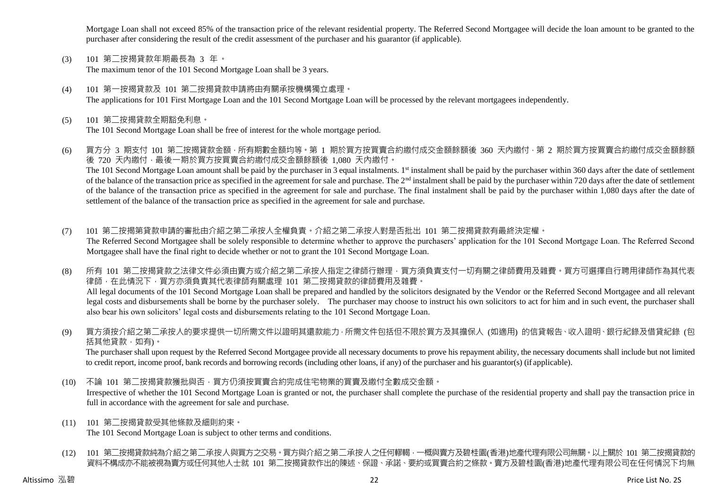Mortgage Loan shall not exceed 85% of the transaction price of the relevant residential property. The Referred Second Mortgagee will decide the loan amount to be granted to the purchaser after considering the result of the credit assessment of the purchaser and his guarantor (if applicable).

- (3) 101 第二按揭貸款年期最長為 3 年。 The maximum tenor of the 101 Second Mortgage Loan shall be 3 years.
- (4) 101 第一按揭貸款及 101 第二按揭貸款申請將由有關承按機構獨立處理。 The applications for 101 First Mortgage Loan and the 101 Second Mortgage Loan will be processed by the relevant mortgagees independently.
- (5) 101 第二按揭貸款全期豁免利息。 The 101 Second Mortgage Loan shall be free of interest for the whole mortgage period.
- (6) 買方分 3 期支付 101 第二按揭貸款金額,所有期數金額均等。第 1 期於買方按買賣合約繳付成交金額餘額後 360 天內繳付,第 2 期於買方按買賣合約繳付成交金額餘額 後 720 天內繳付,最後一期於買方按買賣合約繳付成交金額餘額後 1,080 天內繳付。 The 101 Second Mortgage Loan amount shall be paid by the purchaser in 3 equal instalments. 1<sup>st</sup> instalment shall be paid by the purchaser within 360 days after the date of settlement of the balance of the transaction price as specified in the agreement for sale and purchase. The 2<sup>nd</sup> instalment shall be paid by the purchaser within 720 days after the date of settlement of the balance of the transaction price as specified in the agreement for sale and purchase. The final instalment shall be paid by the purchaser within 1,080 days after the date of settlement of the balance of the transaction price as specified in the agreement for sale and purchase.
- (7) 101 第二按揭第貸款申請的審批由介紹之第二承按人全權負責。介紹之第二承按人對是否批出 101 第二按揭貸款有最終決定權。 The Referred Second Mortgagee shall be solely responsible to determine whether to approve the purchasers' application for the 101 Second Mortgage Loan. The Referred Second Mortgagee shall have the final right to decide whether or not to grant the 101 Second Mortgage Loan.
- (8) 所有 101 第二按揭貸款之法律文件必須由賣方或介紹之第二承按人指定之律師行辦理,買方須負責支付一切有關之律師費用及雜費。買方可選擇自行聘用律師作為其代表 律師,在此情況下,買方亦須負責其代表律師有關處理 101 第二按揭貸款的律師費用及雜費。 All legal documents of the 101 Second Mortgage Loan shall be prepared and handled by the solicitors designated by the Vendor or the Referred Second Mortgagee and all relevant legal costs and disbursements shall be borne by the purchaser solely. The purchaser may choose to instruct his own solicitors to act for him and in such event, the purchaser shall also bear his own solicitors' legal costs and disbursements relating to the 101 Second Mortgage Loan.
- (9) 買方須按介紹之第二承按人的要求提供一切所需文件以證明其還款能力,所需文件包括但不限於買方及其擔保人 (如適用) 的信貸報告、收入證明、銀行紀錄及借貸紀錄 (包 括其他貸款,如有)。

The purchaser shall upon request by the Referred Second Mortgagee provide all necessary documents to prove his repayment ability, the necessary documents shall include but not limited to credit report, income proof, bank records and borrowing records (including other loans, if any) of the purchaser and his guarantor(s) (if applicable).

(10) 不論 101 第二按揭貸款獲批與否,買方仍須按買賣合約完成住宅物業的買賣及繳付全數成交金額。

Irrespective of whether the 101 Second Mortgage Loan is granted or not, the purchaser shall complete the purchase of the residential property and shall pay the transaction price in full in accordance with the agreement for sale and purchase.

- (11) 101 第二按揭貸款受其他條款及細則約束。 The 101 Second Mortgage Loan is subject to other terms and conditions.
- (12) 101 第二按揭貸款純為介紹之第二承按人與買方之交易。買方與介紹之第二承按人之任何轇輵,一概與賣方及碧桂園(香港)地產代理有限公司無關。以上關於 101 第二按揭貸款的 資料不構成亦不能被視為賣方或任何其他人士就 101 第二按揭貸款作出的陳述、保證、承諾、要約或買賣合約之條款。賣方及碧桂園(香港)地產代理有限公司在任何情況下均無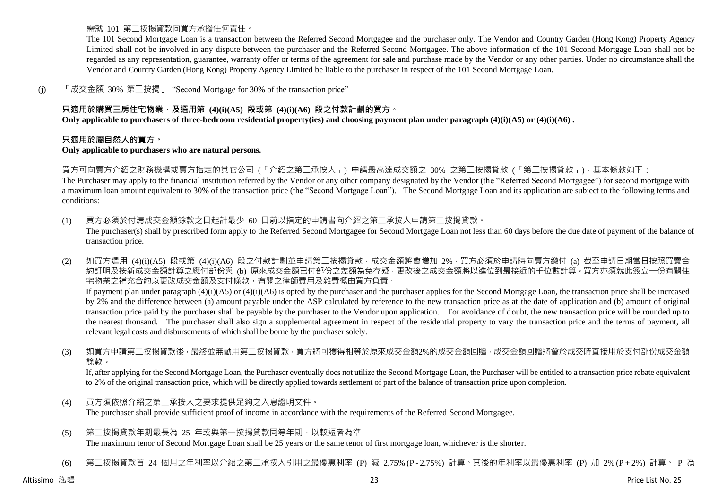需就 101 第二按揭貸款向買方承擔任何責任。

The 101 Second Mortgage Loan is a transaction between the Referred Second Mortgagee and the purchaser only. The Vendor and Country Garden (Hong Kong) Property Agency Limited shall not be involved in any dispute between the purchaser and the Referred Second Mortgagee. The above information of the 101 Second Mortgage Loan shall not be regarded as any representation, guarantee, warranty offer or terms of the agreement for sale and purchase made by the Vendor or any other parties. Under no circumstance shall the Vendor and Country Garden (Hong Kong) Property Agency Limited be liable to the purchaser in respect of the 101 Second Mortgage Loan.

(j) 「成交金額 30% 第二按揭」 "Second Mortgage for 30% of the transaction price"

## **只適用於購買三房住宅物業,及選用第 (4)(i)(A5) 段或第 (4)(i)(A6) 段之付款計劃的買方。**

**Only applicable to purchasers of three-bedroom residential property(ies) and choosing payment plan under paragraph (4)(i)(A5) or (4)(i)(A6) .**

### **只適用於屬自然人的買方。**

#### **Only applicable to purchasers who are natural persons.**

買方可向賣方介紹之財務機構或賣方指定的其它公司 (「介紹之第二承按人」) 申請最高達成交額之 30% 之第二按揭貸款 (「第二按揭貸款」), 基本條款如下:

The Purchaser may apply to the financial institution referred by the Vendor or any other company designated by the Vendor (the "Referred Second Mortgagee") for second mortgage with a maximum loan amount equivalent to 30% of the transaction price (the "Second Mortgage Loan"). The Second Mortgage Loan and its application are subject to the following terms and conditions:

(1) 買方必須於付清成交金額餘款之日起計最少 60 日前以指定的申請書向介紹之第二承按人申請第二按揭貸款。 The purchaser(s) shall by prescribed form apply to the Referred Second Mortgagee for Second Mortgage Loan not less than 60 days before the due date of payment of the balance of transaction price.

(2) 如買方選用 (4)(i)(A5) 段或第 (4)(i)(A6) 段之付款計劃並申請第二按揭貸款,成交金額將會增加 2%,買方必須於申請時向賣方繳付 (a) 截至申請日期當日按照買賣合 約訂明及按新成交金額計算之應付部份與 (b) 原來成交金額已付部份之差額為免存疑,更改後之成交金額將以進位到最接近的千位數計算。買方亦須就此簽立一份有關住 宅物業之補充合約以更改成交金額及支付條款,有關之律師費用及雜費概由買方負責。

If payment plan under paragraph  $(4)(i)(A5)$  or  $(4)(i)(A6)$  is opted by the purchaser and the purchaser applies for the Second Mortgage Loan, the transaction price shall be increased by 2% and the difference between (a) amount payable under the ASP calculated by reference to the new transaction price as at the date of application and (b) amount of original transaction price paid by the purchaser shall be payable by the purchaser to the Vendor upon application. For avoidance of doubt, the new transaction price will be rounded up to the nearest thousand. The purchaser shall also sign a supplemental agreement in respect of the residential property to vary the transaction price and the terms of payment, all relevant legal costs and disbursements of which shall be borne by the purchaser solely.

(3) 如買方申請第二按揭貸款後 · 最終並無動用第二按揭貸款 · 買方將可獲得相等於原來成交金額2%的成交金額回贈 · 成交金額回贈將會於成交時直接用於支付部份成交金額 餘款。

If, after applying for the Second Mortgage Loan, the Purchaser eventually does not utilize the Second Mortgage Loan, the Purchaser will be entitled to a transaction price rebate equivalent to 2% of the original transaction price, which will be directly applied towards settlement of part of the balance of transaction price upon completion.

- (4) 買方須依照介紹之第二承按人之要求提供足夠之入息證明文件。 The purchaser shall provide sufficient proof of income in accordance with the requirements of the Referred Second Mortgagee.
- (5) 第二按揭貸款年期最長為 25 年或與第一按揭貸款同等年期,以較短者為準 The maximum tenor of Second Mortgage Loan shall be 25 years or the same tenor of first mortgage loan, whichever is the shorter.
- (6) 第二按揭貸款首 24 個月之年利率以介紹之第二承按人引用之最優惠利率 (P) 減 2.75% (P 2.75%) 計算。其後的年利率以最優惠利率 (P) 加 2% (P + 2%) 計算。 P 為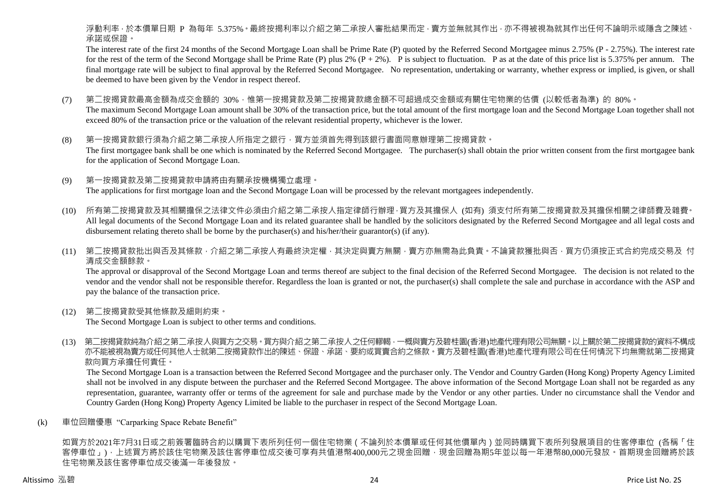浮動利率,於本價單日期 P 為每年 5.375%。最終按揭利率以介紹之第二承按人審批結果而定,賣方並無就其作出,亦不得被視為就其作出任何不論明示或隱含之陳述、 承諾或保證。

The interest rate of the first 24 months of the Second Mortgage Loan shall be Prime Rate (P) quoted by the Referred Second Mortgagee minus 2.75% (P - 2.75%). The interest rate for the rest of the term of the Second Mortgage shall be Prime Rate (P) plus 2%  $(P + 2\%)$ . P is subject to fluctuation. P as at the date of this price list is 5.375% per annum. The final mortgage rate will be subject to final approval by the Referred Second Mortgagee. No representation, undertaking or warranty, whether express or implied, is given, or shall be deemed to have been given by the Vendor in respect thereof.

- (7) 第二按揭貸款最高金額為成交金額的 30%,惟第一按揭貸款及第二按揭貸款總金額不可超過成交金額或有關住宅物業的估價 (以較低者為準) 的 80%。 The maximum Second Mortgage Loan amount shall be 30% of the transaction price, but the total amount of the first mortgage loan and the Second Mortgage Loan together shall not exceed 80% of the transaction price or the valuation of the relevant residential property, whichever is the lower.
- (8) 第一按揭貸款銀行須為介紹之第二承按人所指定之銀行,買方並須首先得到該銀行書面同意辦理第二按揭貸款。 The first mortgagee bank shall be one which is nominated by the Referred Second Mortgagee. The purchaser(s) shall obtain the prior written consent from the first mortgagee bank for the application of Second Mortgage Loan.
- (9) 第一按揭貸款及第二按揭貸款申請將由有關承按機構獨立處理。 The applications for first mortgage loan and the Second Mortgage Loan will be processed by the relevant mortgagees independently.
- (10) 所有第二按揭貸款及其相關擔保之法律文件必須由介紹之第二承按人指定律師行辦理,買方及其擔保人 (如有) 須支付所有第二按揭貸款及其擔保相關之律師費及雜費。 All legal documents of the Second Mortgage Loan and its related guarantee shall be handled by the solicitors designated by the Referred Second Mortgagee and all legal costs and disbursement relating thereto shall be borne by the purchaser(s) and his/her/their guarantor(s) (if any).
- (11) 第二按揭貸款批出與否及其條款,介紹之第二承按人有最終決定權,其決定與賣方無關,賣方亦無需為此負責。不論貸款獲批與否,買方仍須按正式合約完成交易及 付 清成交金額餘款。

The approval or disapproval of the Second Mortgage Loan and terms thereof are subject to the final decision of the Referred Second Mortgagee. The decision is not related to the vendor and the vendor shall not be responsible therefor. Regardless the loan is granted or not, the purchaser(s) shall complete the sale and purchase in accordance with the ASP and pay the balance of the transaction price.

- (12) 第二按揭貸款受其他條款及細則約束。 The Second Mortgage Loan is subject to other terms and conditions.
- (13) 第二按揭貸款純為介紹之第二承按人與買方之交易。買方與介紹之第二承按人之任何轇輵,一概與賣方及碧桂園(香港)地產代理有限公司無關。以上關於第二按揭貸款的資料不構成 亦不能被視為賣方或任何其他人士就第二按揭貸款作出的陳述、保證、承諾、要約或買賣合約之條款。賣方及碧桂園(香港)地產代理有限公司在任何情況下均無需就第二按揭貸 款向買方承擔任何責任。

The Second Mortgage Loan is a transaction between the Referred Second Mortgagee and the purchaser only. The Vendor and Country Garden (Hong Kong) Property Agency Limited shall not be involved in any dispute between the purchaser and the Referred Second Mortgagee. The above information of the Second Mortgage Loan shall not be regarded as any representation, guarantee, warranty offer or terms of the agreement for sale and purchase made by the Vendor or any other parties. Under no circumstance shall the Vendor and Country Garden (Hong Kong) Property Agency Limited be liable to the purchaser in respect of the Second Mortgage Loan.

(k) 車位回贈優惠 "Carparking Space Rebate Benefit"

如買方於2021年7月31日或之前簽署臨時合約以購買下表所列任何一個住宅物業(不論列於本價單或任何其他價單內)並同時購買下表所列發展項目的住客停車位 (各稱「住 客停車位」),上述買方將於該住宅物業及該住客停車位成交後可享有共值港幣400,000元之現金回贈,現金回贈為期5年並以每一年港幣80,000元發放。首期現金回贈將於該 住宅物業及該住客停車位成交後滿一年後發放。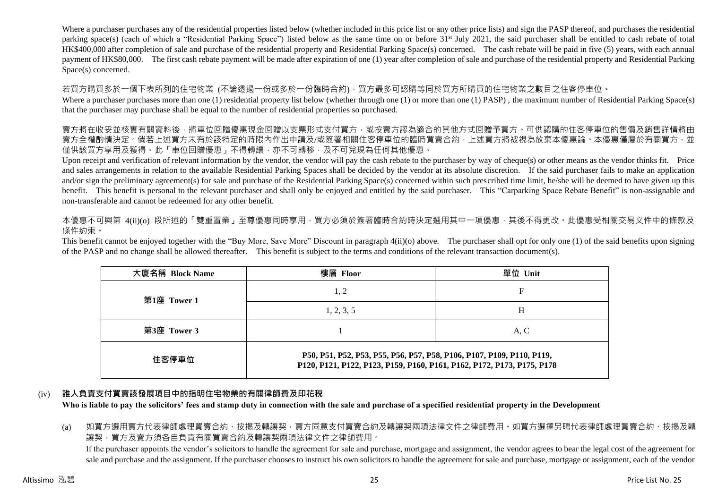Where a purchaser purchases any of the residential properties listed below (whether included in this price list or any other price lists) and sign the PASP thereof, and purchases the residential parking space(s) (each of which a "Residential Parking Space") listed below as the same time on or before 31<sup>st</sup> July 2021, the said purchaser shall be entitled to cash rebate of total HK\$400,000 after completion of sale and purchase of the residential property and Residential Parking Space(s) concerned. The cash rebate will be paid in five (5) years, with each annual payment of HK\$80,000. The first cash rebate payment will be made after expiration of one (1) year after completion of sale and purchase of the residential property and Residential Parking Space(s) concerned.

若買方購買多於一個下表所列的住宅物業 (不論透過一份或多於一份臨時合約),買方最多可認購等同於買方所購買的住宅物業之數目之住客停車位。

Where a purchaser purchases more than one (1) residential property list below (whether through one (1) or more than one (1) PASP), the maximum number of Residential Parking Space(s) that the purchaser may purchase shall be equal to the number of residential properties so purchased.

賣方將在收妥並核實有關資料後,將車位回贈優惠現金回贈以支票形式支付買方,或按賣方認為適合的其他方式回贈予買方。可供認購的住客停車位的售價及銷售詳情將由 賣方全權酌情決定。倘若上述買方未有於該特定的時限內作出申請及/或簽署相關住客停車位的臨時買賣合約,上述買方將被視為放棄本優惠論。本優惠僅屬於有關買方,並 僅供該買方享用及獲得。此「車位回贈優惠」不得轉讓,亦不可轉移,及不可兌現為任何其他優惠。

Upon receipt and verification of relevant information by the vendor, the vendor will pay the cash rebate to the purchaser by way of cheque(s) or other means as the vendor thinks fit. Price and sales arrangements in relation to the available Residential Parking Spaces shall be decided by the vendor at its absolute discretion. If the said purchaser fails to make an application and/or sign the preliminary agreement(s) for sale and purchase of the Residential Parking Space(s) concerned within such prescribed time limit, he/she will be deemed to have given up this benefit. This benefit is personal to the relevant purchaser and shall only be enjoyed and entitled by the said purchaser. This "Carparking Space Rebate Benefit" is non-assignable and non-transferable and cannot be redeemed for any other benefit.

本優惠不可與第 4(ij)(o) 段所述的「雙重置業」至尊優惠同時享用,買方必須於簽署臨時合約時決定選用其中一項優惠,其後不得更改。此優惠受相關交易文件中的條款及 條件約束。

This benefit cannot be enjoyed together with the "Buy More, Save More" Discount in paragraph 4(ii)(o) above. The purchaser shall opt for only one (1) of the said benefits upon signing of the PASP and no change shall be allowed thereafter. This benefit is subject to the terms and conditions of the relevant transaction document(s).

| 大廈名稱 Block Name | 樓層 Floor                                                                                                                                        | 單位 Unit |  |  |  |  |
|-----------------|-------------------------------------------------------------------------------------------------------------------------------------------------|---------|--|--|--|--|
| 第1座 Tower 1     | 1, 2                                                                                                                                            | F       |  |  |  |  |
|                 | 1, 2, 3, 5                                                                                                                                      | Н       |  |  |  |  |
| 第3座 Tower 3     |                                                                                                                                                 | A, C    |  |  |  |  |
| 住客停車位           | P50, P51, P52, P53, P55, P56, P57, P58, P106, P107, P109, P110, P119,<br>P120, P121, P122, P123, P159, P160, P161, P162, P172, P173, P175, P178 |         |  |  |  |  |

# (iv) **誰人負責支付買賣該發展項目中的指明住宅物業的有關律師費及印花稅**

**Who is liable to pay the solicitors' fees and stamp duty in connection with the sale and purchase of a specified residential property in the Development**

(a) 如買方選用賣方代表律師處理買賣合約、按揭及轉讓契,賣方同意支付買賣合約及轉讓契兩項法律文件之律師費用。如買方選擇另聘代表律師處理買賣合約、按揭及轉 讓契,買方及賣方須各自負責有關買賣合約及轉讓契兩項法律文件之律師費用。

If the purchaser appoints the vendor's solicitors to handle the agreement for sale and purchase, mortgage and assignment, the vendor agrees to bear the legal cost of the agreement for sale and purchase and the assignment. If the purchaser chooses to instruct his own solicitors to handle the agreement for sale and purchase, mortgage or assignment, each of the vendor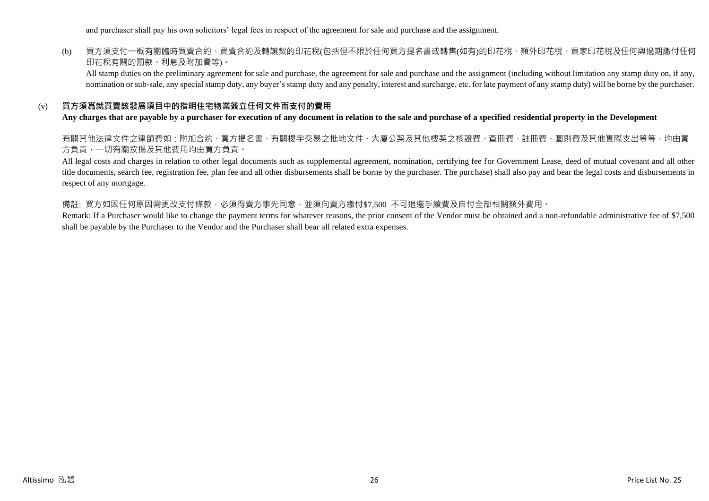and purchaser shall pay his own solicitors' legal fees in respect of the agreement for sale and purchase and the assignment.

## (b) 買方須支付一概有關臨時買賣合約、買賣合約及轉讓契的印花稅(包括但不限於任何買方提名書或轉售(如有)的印花稅、額外印花稅、買家印花稅及任何與過期繳付任何 印花稅有關的罰款、利息及附加費等)。

All stamp duties on the preliminary agreement for sale and purchase, the agreement for sale and purchase and the assignment (including without limitation any stamp duty on, if any, nomination or sub-sale, any special stamp duty, any buyer's stamp duty and any penalty, interest and surcharge, etc. for late payment of any stamp duty) will be borne by the purchaser.

#### (v) **買方須爲就買賣該發展項目中的指明住宅物業簽立任何文件而支付的費用**

#### **Any charges that are payable by a purchaser for execution of any document in relation to the sale and purchase of a specified residential property in the Development**

有關其他法律文件之律師費如:附加合約、買方提名書、有關樓宇交易之批地文件、大廈公契及其他樓契之核證費、查冊費、註冊費、圖則費及其他實際支出等等,均由買 方負責,一切有關按揭及其他費用均由買方負責。

All legal costs and charges in relation to other legal documents such as supplemental agreement, nomination, certifying fee for Government Lease, deed of mutual covenant and all other title documents, search fee, registration fee, plan fee and all other disbursements shall be borne by the purchaser. The purchase) shall also pay and bear the legal costs and disbursements in respect of any mortgage.

#### 備註: 買方如因任何原因需更改支付條款,必須得賣方事先同意,並須向賣方繳付\$7,500 不可退還手續費及自付全部相關額外費用。

Remark: If a Purchaser would like to change the payment terms for whatever reasons, the prior consent of the Vendor must be obtained and a non-refundable administrative fee of \$7,500 shall be payable by the Purchaser to the Vendor and the Purchaser shall bear all related extra expenses.